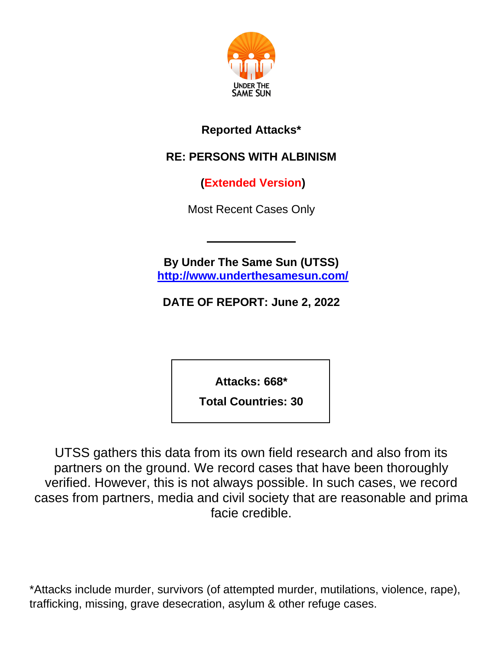

#### **Reported Attacks\***

### **RE: PERSONS WITH ALBINISM**

**(Extended Version)**

Most Recent Cases Only

**By Under The Same Sun (UTSS) <http://www.underthesamesun.com/>**

**DATE OF REPORT: June 2, 2022**

**Attacks: 668\***

**Total Countries: 30**

UTSS gathers this data from its own field research and also from its partners on the ground. We record cases that have been thoroughly verified. However, this is not always possible. In such cases, we record cases from partners, media and civil society that are reasonable and prima facie credible.

\*Attacks include murder, survivors (of attempted murder, mutilations, violence, rape), trafficking, missing, grave desecration, asylum & other refuge cases.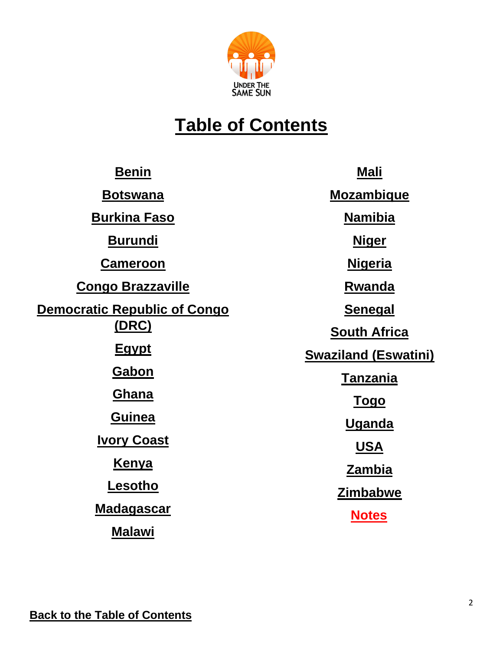

## **Table of Contents**

<span id="page-1-0"></span>

| <b>Benin</b>                        | <b>Mali</b>                 |
|-------------------------------------|-----------------------------|
| <b>Botswana</b>                     | <b>Mozambique</b>           |
| <b>Burkina Faso</b>                 | <b>Namibia</b>              |
| <b>Burundi</b>                      | <u>Niger</u>                |
| <b>Cameroon</b>                     | <u>Nigeria</u>              |
| <b>Congo Brazzaville</b>            | <b>Rwanda</b>               |
| <b>Democratic Republic of Congo</b> | <b>Senegal</b>              |
| <u>(DRC)</u>                        | <b>South Africa</b>         |
| <u>Egypt</u>                        | <b>Swaziland (Eswatini)</b> |
| <b>Gabon</b>                        | <b>Tanzania</b>             |
| <b>Ghana</b>                        | <u>Togo</u>                 |
| <b>Guinea</b>                       | <b>Uganda</b>               |
| <b>Ivory Coast</b>                  | <u>USA</u>                  |
| <b>Kenya</b>                        | <u>Zambia</u>               |
| Lesotho                             | <b>Zimbabwe</b>             |
| <u>Madagascar</u>                   | <b>Notes</b>                |
| <b>Malawi</b>                       |                             |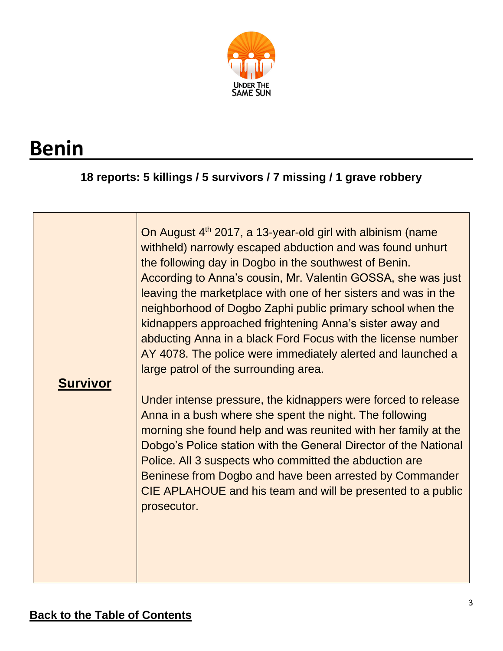

# <span id="page-2-0"></span>**Benin**

### **18 reports: 5 killings / 5 survivors / 7 missing / 1 grave robbery**

| <b>Survivor</b> | On August 4 <sup>th</sup> 2017, a 13-year-old girl with albinism (name<br>withheld) narrowly escaped abduction and was found unhurt<br>the following day in Dogbo in the southwest of Benin.<br>According to Anna's cousin, Mr. Valentin GOSSA, she was just<br>leaving the marketplace with one of her sisters and was in the<br>neighborhood of Dogbo Zaphi public primary school when the<br>kidnappers approached frightening Anna's sister away and<br>abducting Anna in a black Ford Focus with the license number<br>AY 4078. The police were immediately alerted and launched a<br>large patrol of the surrounding area. |
|-----------------|----------------------------------------------------------------------------------------------------------------------------------------------------------------------------------------------------------------------------------------------------------------------------------------------------------------------------------------------------------------------------------------------------------------------------------------------------------------------------------------------------------------------------------------------------------------------------------------------------------------------------------|
|                 | Under intense pressure, the kidnappers were forced to release                                                                                                                                                                                                                                                                                                                                                                                                                                                                                                                                                                    |
|                 | Anna in a bush where she spent the night. The following                                                                                                                                                                                                                                                                                                                                                                                                                                                                                                                                                                          |
|                 | morning she found help and was reunited with her family at the<br>Dobgo's Police station with the General Director of the National                                                                                                                                                                                                                                                                                                                                                                                                                                                                                               |
|                 | Police. All 3 suspects who committed the abduction are                                                                                                                                                                                                                                                                                                                                                                                                                                                                                                                                                                           |
|                 | Beninese from Dogbo and have been arrested by Commander<br>CIE APLAHOUE and his team and will be presented to a public                                                                                                                                                                                                                                                                                                                                                                                                                                                                                                           |
|                 | prosecutor.                                                                                                                                                                                                                                                                                                                                                                                                                                                                                                                                                                                                                      |
|                 |                                                                                                                                                                                                                                                                                                                                                                                                                                                                                                                                                                                                                                  |
|                 |                                                                                                                                                                                                                                                                                                                                                                                                                                                                                                                                                                                                                                  |
|                 |                                                                                                                                                                                                                                                                                                                                                                                                                                                                                                                                                                                                                                  |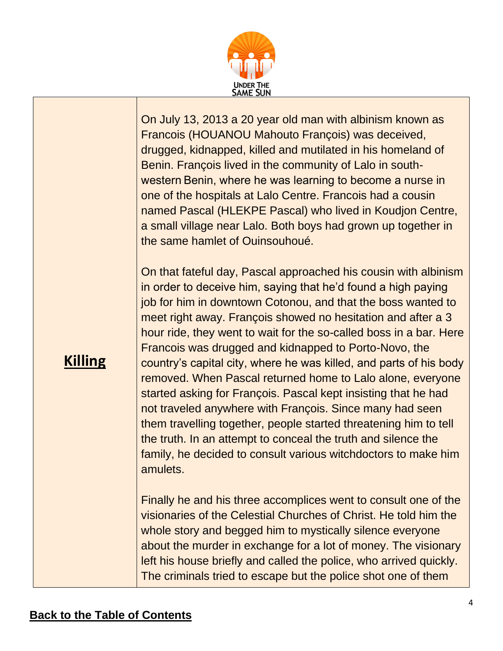

On July 13, 2013 a 20 year old man with albinism known as Francois (HOUANOU Mahouto François) was deceived, drugged, kidnapped, killed and mutilated in his homeland of Benin. François lived in the community of Lalo in southwestern Benin, where he was learning to become a nurse in one of the hospitals at Lalo Centre. Francois had a cousin named Pascal (HLEKPE Pascal) who lived in Koudjon Centre, a small village near Lalo. Both boys had grown up together in the same hamlet of Ouinsouhoué.

On that fateful day, Pascal approached his cousin with albinism in order to deceive him, saying that he'd found a high paying job for him in downtown Cotonou, and that the boss wanted to meet right away. François showed no hesitation and after a 3 hour ride, they went to wait for the so-called boss in a bar. Here Francois was drugged and kidnapped to Porto-Novo, the country's capital city, where he was killed, and parts of his body removed. When Pascal returned home to Lalo alone, everyone started asking for François. Pascal kept insisting that he had not traveled anywhere with François. Since many had seen them travelling together, people started threatening him to tell the truth. In an attempt to conceal the truth and silence the family, he decided to consult various witchdoctors to make him amulets.

Finally he and his three accomplices went to consult one of the visionaries of the Celestial Churches of Christ. He told him the whole story and begged him to mystically silence everyone about the murder in exchange for a lot of money. The visionary left his house briefly and called the police, who arrived quickly. The criminals tried to escape but the police shot one of them

### **Killing**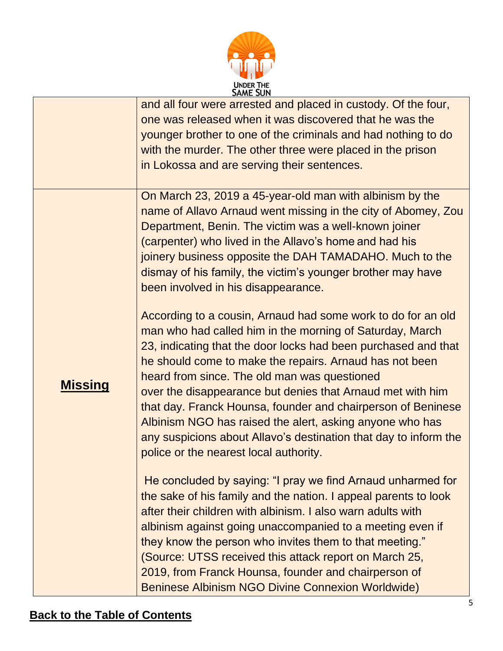

|                | and all four were arrested and placed in custody. Of the four,   |
|----------------|------------------------------------------------------------------|
|                | one was released when it was discovered that he was the          |
|                | younger brother to one of the criminals and had nothing to do    |
|                | with the murder. The other three were placed in the prison       |
|                | in Lokossa and are serving their sentences.                      |
|                |                                                                  |
|                | On March 23, 2019 a 45-year-old man with albinism by the         |
|                | name of Allavo Arnaud went missing in the city of Abomey, Zou    |
|                | Department, Benin. The victim was a well-known joiner            |
|                | (carpenter) who lived in the Allavo's home and had his           |
|                | joinery business opposite the DAH TAMADAHO. Much to the          |
|                | dismay of his family, the victim's younger brother may have      |
|                | been involved in his disappearance.                              |
|                |                                                                  |
|                | According to a cousin, Arnaud had some work to do for an old     |
|                | man who had called him in the morning of Saturday, March         |
|                | 23, indicating that the door locks had been purchased and that   |
|                | he should come to make the repairs. Arnaud has not been          |
|                | heard from since. The old man was questioned                     |
| <u>Missing</u> | over the disappearance but denies that Arnaud met with him       |
|                | that day. Franck Hounsa, founder and chairperson of Beninese     |
|                | Albinism NGO has raised the alert, asking anyone who has         |
|                | any suspicions about Allavo's destination that day to inform the |
|                | police or the nearest local authority.                           |
|                |                                                                  |
|                | He concluded by saying: "I pray we find Arnaud unharmed for      |
|                | the sake of his family and the nation. I appeal parents to look  |
|                | after their children with albinism. I also warn adults with      |
|                | albinism against going unaccompanied to a meeting even if        |
|                | they know the person who invites them to that meeting."          |
|                | (Source: UTSS received this attack report on March 25,           |
|                | 2019, from Franck Hounsa, founder and chairperson of             |
|                | Beninese Albinism NGO Divine Connexion Worldwide)                |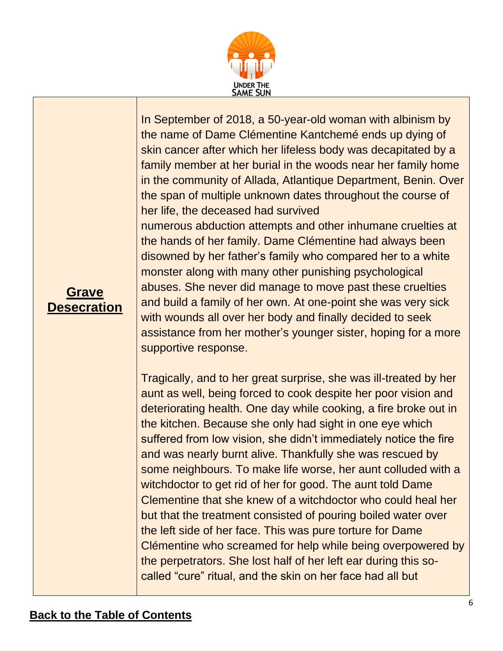

In September of 2018, a 50-year-old woman with albinism by the name of Dame Clémentine Kantchemé ends up dying of skin cancer after which her lifeless body was decapitated by a family member at her burial in the woods near her family home in the community of Allada, Atlantique Department, Benin. Over the span of multiple unknown dates throughout the course of her life, the deceased had survived numerous abduction attempts and other inhumane cruelties at the hands of her family. Dame Clémentine had always been disowned by her father's family who compared her to a white monster along with many other punishing psychological abuses. She never did manage to move past these cruelties and build a family of her own. At one-point she was very sick with wounds all over her body and finally decided to seek assistance from her mother's younger sister, hoping for a more supportive response.

Tragically, and to her great surprise, she was ill-treated by her aunt as well, being forced to cook despite her poor vision and deteriorating health. One day while cooking, a fire broke out in the kitchen. Because she only had sight in one eye which suffered from low vision, she didn't immediately notice the fire and was nearly burnt alive. Thankfully she was rescued by some neighbours. To make life worse, her aunt colluded with a witchdoctor to get rid of her for good. The aunt told Dame Clementine that she knew of a witchdoctor who could heal her but that the treatment consisted of pouring boiled water over the left side of her face. This was pure torture for Dame Clémentine who screamed for help while being overpowered by the perpetrators. She lost half of her left ear during this socalled "cure" ritual, and the skin on her face had all but

#### **Grave Desecration**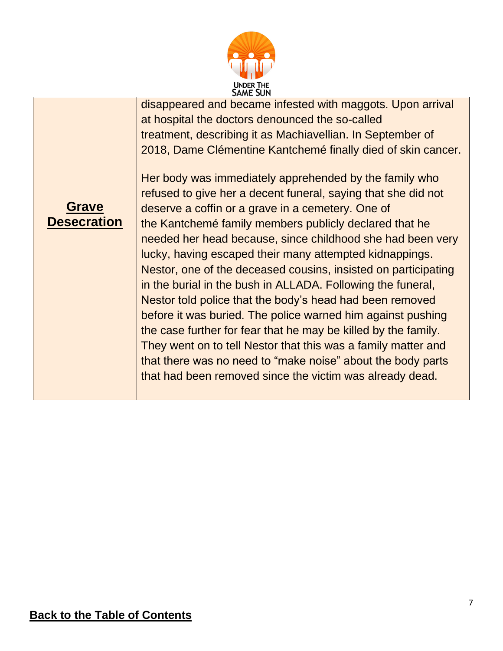

disappeared and became infested with maggots. Upon arrival at hospital the doctors denounced the so-called treatment, describing it as Machiavellian. In September of 2018, Dame Clémentine Kantchemé finally died of skin cancer.



Her body was immediately apprehended by the family who refused to give her a decent funeral, saying that she did not deserve a coffin or a grave in a cemetery. One of the Kantchemé family members publicly declared that he needed her head because, since childhood she had been very lucky, having escaped their many attempted kidnappings. Nestor, one of the deceased cousins, insisted on participating in the burial in the bush in ALLADA. Following the funeral, Nestor told police that the body's head had been removed before it was buried. The police warned him against pushing the case further for fear that he may be killed by the family. They went on to tell Nestor that this was a family matter and that there was no need to "make noise" about the body parts that had been removed since the victim was already dead.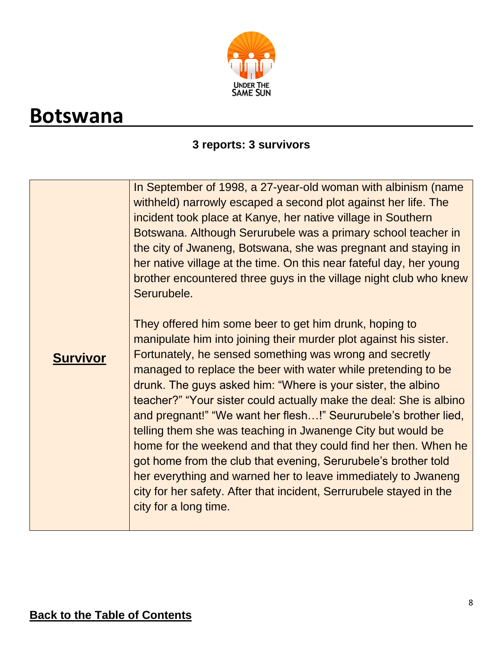

### <span id="page-7-0"></span>**Botswana**

#### **3 reports: 3 survivors**

<span id="page-7-1"></span>

| <b>Survivor</b> | In September of 1998, a 27-year-old woman with albinism (name<br>withheld) narrowly escaped a second plot against her life. The<br>incident took place at Kanye, her native village in Southern<br>Botswana. Although Serurubele was a primary school teacher in<br>the city of Jwaneng, Botswana, she was pregnant and staying in<br>her native village at the time. On this near fateful day, her young<br>brother encountered three guys in the village night club who knew<br>Serurubele.<br>They offered him some beer to get him drunk, hoping to<br>manipulate him into joining their murder plot against his sister.<br>Fortunately, he sensed something was wrong and secretly<br>managed to replace the beer with water while pretending to be<br>drunk. The guys asked him: "Where is your sister, the albino<br>teacher?" "Your sister could actually make the deal: She is albino<br>and pregnant!" "We want her flesh!" Seururubele's brother lied,<br>telling them she was teaching in Jwanenge City but would be<br>home for the weekend and that they could find her then. When he<br>got home from the club that evening, Serurubele's brother told<br>her everything and warned her to leave immediately to Jwaneng<br>city for her safety. After that incident, Serrurubele stayed in the<br>city for a long time. |
|-----------------|----------------------------------------------------------------------------------------------------------------------------------------------------------------------------------------------------------------------------------------------------------------------------------------------------------------------------------------------------------------------------------------------------------------------------------------------------------------------------------------------------------------------------------------------------------------------------------------------------------------------------------------------------------------------------------------------------------------------------------------------------------------------------------------------------------------------------------------------------------------------------------------------------------------------------------------------------------------------------------------------------------------------------------------------------------------------------------------------------------------------------------------------------------------------------------------------------------------------------------------------------------------------------------------------------------------------------------------|
|                 |                                                                                                                                                                                                                                                                                                                                                                                                                                                                                                                                                                                                                                                                                                                                                                                                                                                                                                                                                                                                                                                                                                                                                                                                                                                                                                                                        |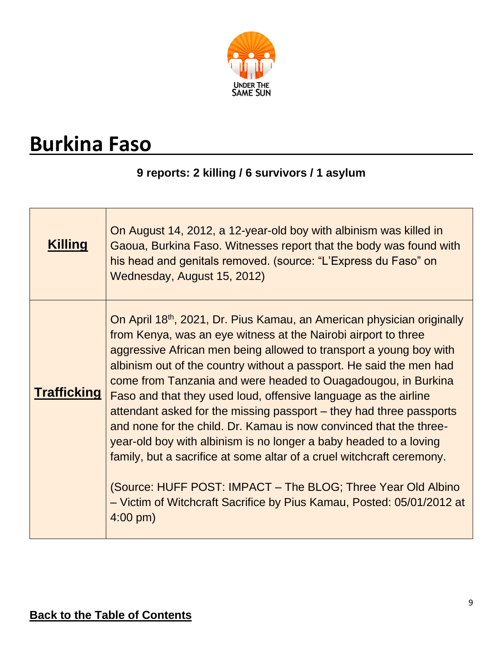

## **Burkina Faso**

### **9 reports: 2 killing / 6 survivors / 1 asylum**

| <b>Killing</b>     | On August 14, 2012, a 12-year-old boy with albinism was killed in<br>Gaoua, Burkina Faso. Witnesses report that the body was found with<br>his head and genitals removed. (source: "L'Express du Faso" on<br>Wednesday, August 15, 2012)                                                                                                                                                                                                                                                                                                                                                                                                                                                                                                                                                                                                                                                |
|--------------------|-----------------------------------------------------------------------------------------------------------------------------------------------------------------------------------------------------------------------------------------------------------------------------------------------------------------------------------------------------------------------------------------------------------------------------------------------------------------------------------------------------------------------------------------------------------------------------------------------------------------------------------------------------------------------------------------------------------------------------------------------------------------------------------------------------------------------------------------------------------------------------------------|
| <b>Trafficking</b> | On April 18 <sup>th</sup> , 2021, Dr. Pius Kamau, an American physician originally<br>from Kenya, was an eye witness at the Nairobi airport to three<br>aggressive African men being allowed to transport a young boy with<br>albinism out of the country without a passport. He said the men had<br>come from Tanzania and were headed to Ouagadougou, in Burkina<br>Faso and that they used loud, offensive language as the airline<br>attendant asked for the missing passport – they had three passports<br>and none for the child. Dr. Kamau is now convinced that the three-<br>year-old boy with albinism is no longer a baby headed to a loving<br>family, but a sacrifice at some altar of a cruel witchcraft ceremony.<br>(Source: HUFF POST: IMPACT – The BLOG; Three Year Old Albino<br>- Victim of Witchcraft Sacrifice by Pius Kamau, Posted: 05/01/2012 at<br>$4:00$ pm) |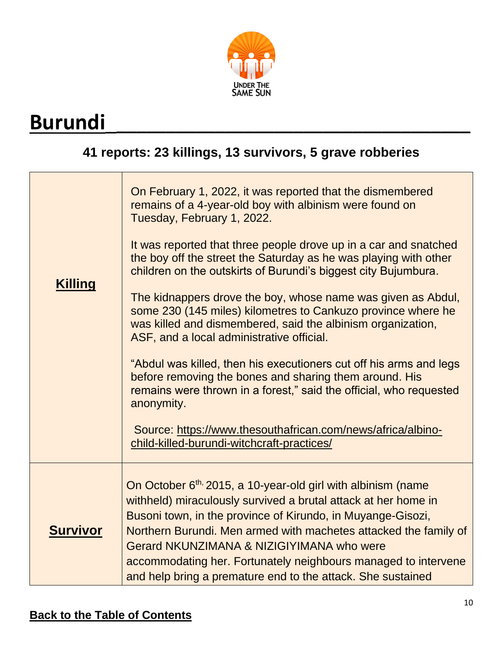

# <span id="page-9-0"></span>**Burundi**\_\_\_\_\_\_\_\_\_\_\_\_\_\_\_\_\_\_\_\_\_\_\_\_\_\_\_\_\_\_\_\_\_\_\_\_\_

### **41 reports: 23 killings, 13 survivors, 5 grave robberies**

| <b>Killing</b>  | On February 1, 2022, it was reported that the dismembered<br>remains of a 4-year-old boy with albinism were found on<br>Tuesday, February 1, 2022.<br>It was reported that three people drove up in a car and snatched<br>the boy off the street the Saturday as he was playing with other<br>children on the outskirts of Burundi's biggest city Bujumbura.<br>The kidnappers drove the boy, whose name was given as Abdul,<br>some 230 (145 miles) kilometres to Cankuzo province where he<br>was killed and dismembered, said the albinism organization,<br>ASF, and a local administrative official.<br>"Abdul was killed, then his executioners cut off his arms and legs<br>before removing the bones and sharing them around. His<br>remains were thrown in a forest," said the official, who requested<br>anonymity.<br>Source: https://www.thesouthafrican.com/news/africa/albino-<br>child-killed-burundi-witchcraft-practices/ |
|-----------------|-------------------------------------------------------------------------------------------------------------------------------------------------------------------------------------------------------------------------------------------------------------------------------------------------------------------------------------------------------------------------------------------------------------------------------------------------------------------------------------------------------------------------------------------------------------------------------------------------------------------------------------------------------------------------------------------------------------------------------------------------------------------------------------------------------------------------------------------------------------------------------------------------------------------------------------------|
| <b>Survivor</b> | On October 6 <sup>th,</sup> 2015, a 10-year-old girl with albinism (name<br>withheld) miraculously survived a brutal attack at her home in<br>Busoni town, in the province of Kirundo, in Muyange-Gisozi,<br>Northern Burundi. Men armed with machetes attacked the family of<br>Gerard NKUNZIMANA & NIZIGIYIMANA who were<br>accommodating her. Fortunately neighbours managed to intervene<br>and help bring a premature end to the attack. She sustained                                                                                                                                                                                                                                                                                                                                                                                                                                                                               |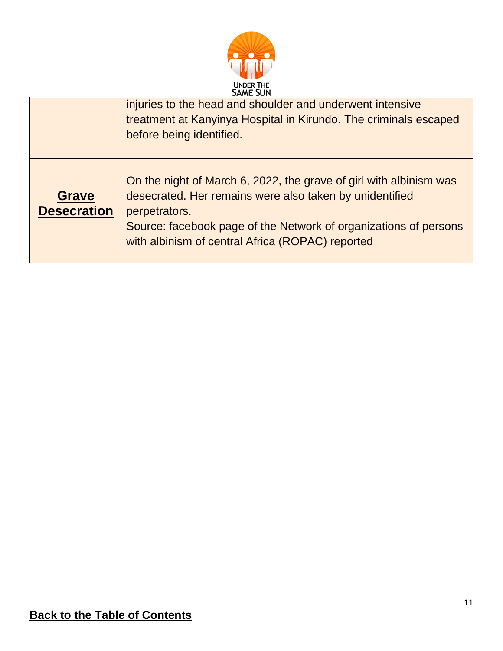

<span id="page-10-0"></span>

|                                    | <b>JAME JUN</b>                                                                                                                                                                                                                                                        |
|------------------------------------|------------------------------------------------------------------------------------------------------------------------------------------------------------------------------------------------------------------------------------------------------------------------|
|                                    | injuries to the head and shoulder and underwent intensive<br>treatment at Kanyinya Hospital in Kirundo. The criminals escaped<br>before being identified.                                                                                                              |
| <b>Grave</b><br><b>Desecration</b> | On the night of March 6, 2022, the grave of girl with albinism was<br>desecrated. Her remains were also taken by unidentified<br>perpetrators.<br>Source: facebook page of the Network of organizations of persons<br>with albinism of central Africa (ROPAC) reported |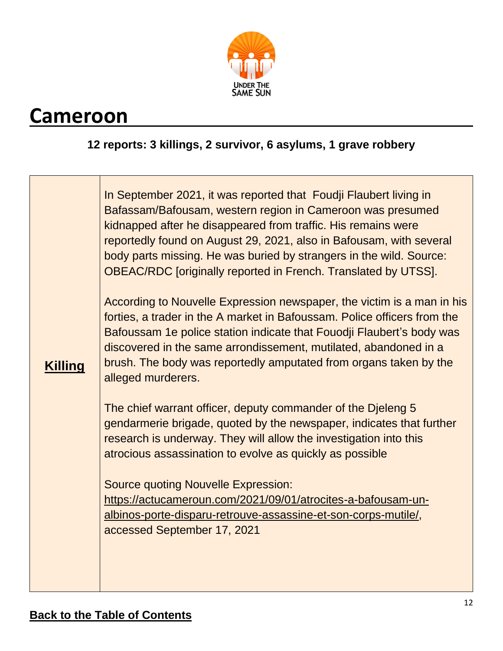

### **Cameroon**

#### **12 reports: 3 killings, 2 survivor, 6 asylums, 1 grave robbery**

| <b>Killing</b> | In September 2021, it was reported that Foudji Flaubert living in<br>Bafassam/Bafousam, western region in Cameroon was presumed<br>kidnapped after he disappeared from traffic. His remains were<br>reportedly found on August 29, 2021, also in Bafousam, with several<br>body parts missing. He was buried by strangers in the wild. Source:<br><b>OBEAC/RDC</b> [originally reported in French. Translated by UTSS].<br>According to Nouvelle Expression newspaper, the victim is a man in his<br>forties, a trader in the A market in Bafoussam. Police officers from the<br>Bafoussam 1e police station indicate that Fouodii Flaubert's body was<br>discovered in the same arrondissement, mutilated, abandoned in a<br>brush. The body was reportedly amputated from organs taken by the<br>alleged murderers.<br>The chief warrant officer, deputy commander of the Djeleng 5 |
|----------------|---------------------------------------------------------------------------------------------------------------------------------------------------------------------------------------------------------------------------------------------------------------------------------------------------------------------------------------------------------------------------------------------------------------------------------------------------------------------------------------------------------------------------------------------------------------------------------------------------------------------------------------------------------------------------------------------------------------------------------------------------------------------------------------------------------------------------------------------------------------------------------------|
|                | gendarmerie brigade, quoted by the newspaper, indicates that further<br>research is underway. They will allow the investigation into this<br>atrocious assassination to evolve as quickly as possible                                                                                                                                                                                                                                                                                                                                                                                                                                                                                                                                                                                                                                                                                 |
|                | <b>Source quoting Nouvelle Expression:</b><br>https://actucameroun.com/2021/09/01/atrocites-a-bafousam-un-<br>albinos-porte-disparu-retrouve-assassine-et-son-corps-mutile/,<br>accessed September 17, 2021                                                                                                                                                                                                                                                                                                                                                                                                                                                                                                                                                                                                                                                                           |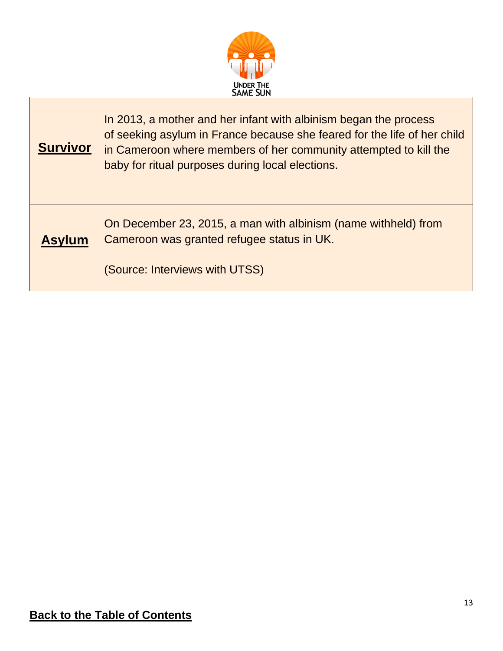

| <b>Survivor</b> | In 2013, a mother and her infant with albinism began the process<br>of seeking asylum in France because she feared for the life of her child<br>in Cameroon where members of her community attempted to kill the<br>baby for ritual purposes during local elections. |
|-----------------|----------------------------------------------------------------------------------------------------------------------------------------------------------------------------------------------------------------------------------------------------------------------|
| <b>Asylum</b>   | On December 23, 2015, a man with albinism (name withheld) from<br>Cameroon was granted refugee status in UK.<br>(Source: Interviews with UTSS)                                                                                                                       |

Г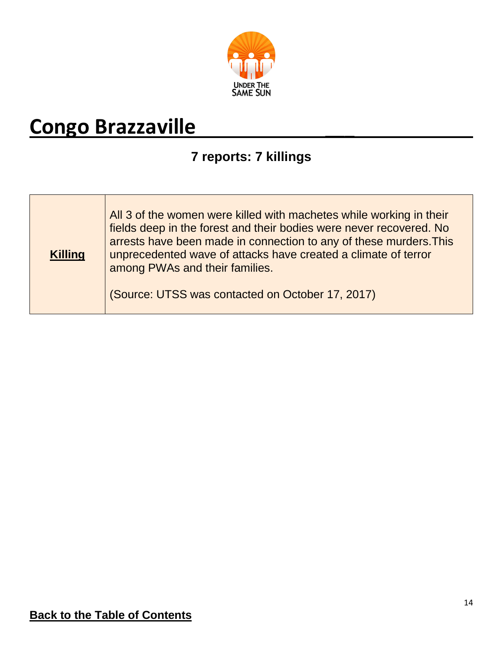

# <span id="page-13-1"></span><span id="page-13-0"></span>**Congo Brazzaville** \_\_\_

### **7 reports: 7 killings**

| <b>Killing</b> | All 3 of the women were killed with machetes while working in their<br>fields deep in the forest and their bodies were never recovered. No<br>arrests have been made in connection to any of these murders. This<br>unprecedented wave of attacks have created a climate of terror<br>among PWAs and their families. |
|----------------|----------------------------------------------------------------------------------------------------------------------------------------------------------------------------------------------------------------------------------------------------------------------------------------------------------------------|
|                | (Source: UTSS was contacted on October 17, 2017)                                                                                                                                                                                                                                                                     |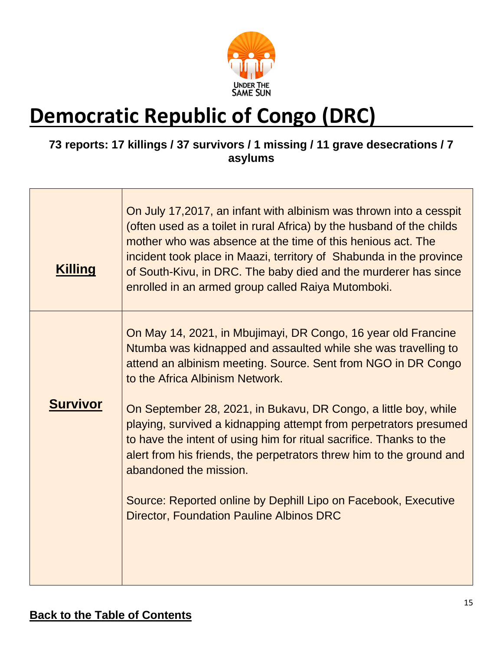

# **Democratic Republic of Congo (DRC)**

#### **73 reports: 17 killings / 37 survivors / 1 missing / 11 grave desecrations / 7 asylums**

| <b>Killing</b>  | On July 17,2017, an infant with albinism was thrown into a cesspit<br>(often used as a toilet in rural Africa) by the husband of the childs<br>mother who was absence at the time of this henious act. The<br>incident took place in Maazi, territory of Shabunda in the province<br>of South-Kivu, in DRC. The baby died and the murderer has since<br>enrolled in an armed group called Raiya Mutomboki. |
|-----------------|------------------------------------------------------------------------------------------------------------------------------------------------------------------------------------------------------------------------------------------------------------------------------------------------------------------------------------------------------------------------------------------------------------|
| <b>Survivor</b> | On May 14, 2021, in Mbujimayi, DR Congo, 16 year old Francine<br>Ntumba was kidnapped and assaulted while she was travelling to<br>attend an albinism meeting. Source. Sent from NGO in DR Congo<br>to the Africa Albinism Network.<br>On September 28, 2021, in Bukavu, DR Congo, a little boy, while                                                                                                     |
|                 | playing, survived a kidnapping attempt from perpetrators presumed<br>to have the intent of using him for ritual sacrifice. Thanks to the<br>alert from his friends, the perpetrators threw him to the ground and<br>abandoned the mission.<br>Source: Reported online by Dephill Lipo on Facebook, Executive                                                                                               |
|                 | <b>Director, Foundation Pauline Albinos DRC</b>                                                                                                                                                                                                                                                                                                                                                            |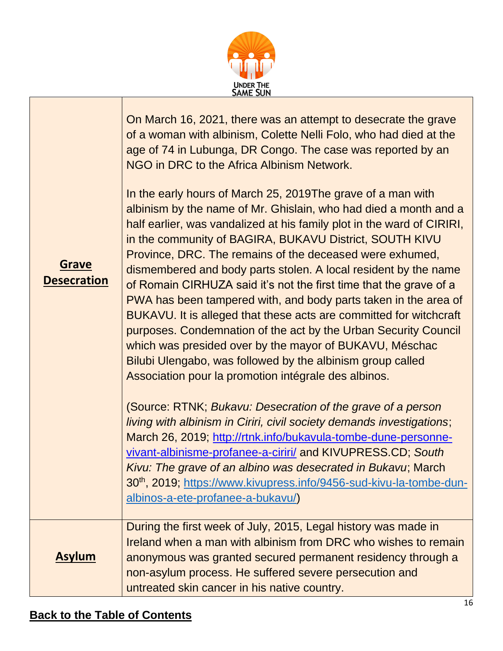

| <b>Grave</b><br><b>Desecration</b> | On March 16, 2021, there was an attempt to desecrate the grave<br>of a woman with albinism, Colette Nelli Folo, who had died at the<br>age of 74 in Lubunga, DR Congo. The case was reported by an<br>NGO in DRC to the Africa Albinism Network.<br>In the early hours of March 25, 2019The grave of a man with<br>albinism by the name of Mr. Ghislain, who had died a month and a<br>half earlier, was vandalized at his family plot in the ward of CIRIRI,<br>in the community of BAGIRA, BUKAVU District, SOUTH KIVU<br>Province, DRC. The remains of the deceased were exhumed,<br>dismembered and body parts stolen. A local resident by the name<br>of Romain CIRHUZA said it's not the first time that the grave of a<br>PWA has been tampered with, and body parts taken in the area of<br>BUKAVU. It is alleged that these acts are committed for witchcraft<br>purposes. Condemnation of the act by the Urban Security Council<br>which was presided over by the mayor of BUKAVU, Méschac<br>Bilubi Ulengabo, was followed by the albinism group called<br>Association pour la promotion intégrale des albinos.<br>(Source: RTNK; Bukavu: Desecration of the grave of a person<br>living with albinism in Ciriri, civil society demands investigations;<br>March 26, 2019; http://rtnk.info/bukavula-tombe-dune-personne-<br>vivant-albinisme-profanee-a-ciriri/ and KIVUPRESS.CD; South<br>Kivu: The grave of an albino was desecrated in Bukavu; March<br>30 <sup>th</sup> , 2019; https://www.kivupress.info/9456-sud-kivu-la-tombe-dun-<br>albinos-a-ete-profanee-a-bukavu/) |
|------------------------------------|---------------------------------------------------------------------------------------------------------------------------------------------------------------------------------------------------------------------------------------------------------------------------------------------------------------------------------------------------------------------------------------------------------------------------------------------------------------------------------------------------------------------------------------------------------------------------------------------------------------------------------------------------------------------------------------------------------------------------------------------------------------------------------------------------------------------------------------------------------------------------------------------------------------------------------------------------------------------------------------------------------------------------------------------------------------------------------------------------------------------------------------------------------------------------------------------------------------------------------------------------------------------------------------------------------------------------------------------------------------------------------------------------------------------------------------------------------------------------------------------------------------------------------------------------------------------------------------------|
| <b>Asylum</b>                      | During the first week of July, 2015, Legal history was made in<br>Ireland when a man with albinism from DRC who wishes to remain<br>anonymous was granted secured permanent residency through a<br>non-asylum process. He suffered severe persecution and<br>untreated skin cancer in his native country.                                                                                                                                                                                                                                                                                                                                                                                                                                                                                                                                                                                                                                                                                                                                                                                                                                                                                                                                                                                                                                                                                                                                                                                                                                                                                   |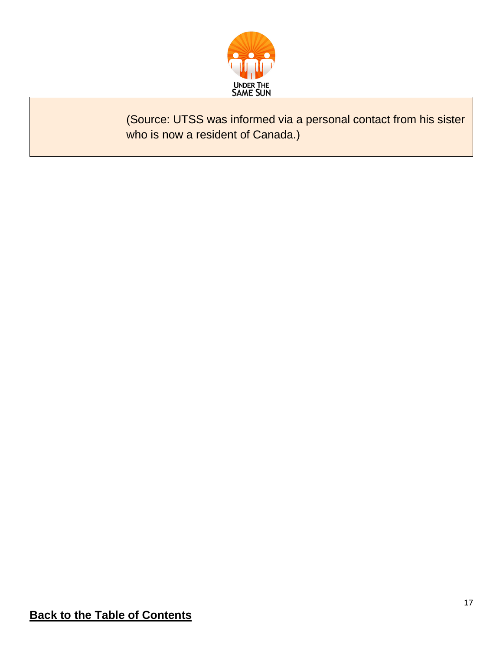

(Source: UTSS was informed via a personal contact from his sister who is now a resident of Canada.)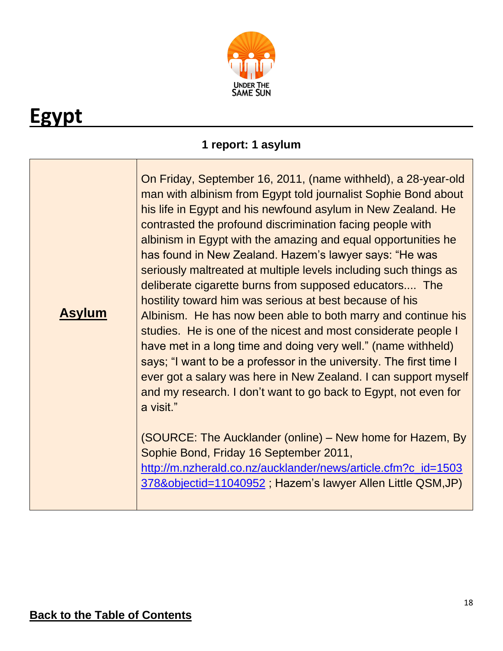

# <span id="page-17-0"></span>**Egypt**

### **1 report: 1 asylum**

<span id="page-17-1"></span>

| <b>Asylum</b> | On Friday, September 16, 2011, (name withheld), a 28-year-old<br>man with albinism from Egypt told journalist Sophie Bond about<br>his life in Egypt and his newfound asylum in New Zealand. He<br>contrasted the profound discrimination facing people with<br>albinism in Egypt with the amazing and equal opportunities he<br>has found in New Zealand. Hazem's lawyer says: "He was<br>seriously maltreated at multiple levels including such things as<br>deliberate cigarette burns from supposed educators The<br>hostility toward him was serious at best because of his<br>Albinism. He has now been able to both marry and continue his<br>studies. He is one of the nicest and most considerate people I<br>have met in a long time and doing very well." (name withheld)<br>says; "I want to be a professor in the university. The first time I<br>ever got a salary was here in New Zealand. I can support myself<br>and my research. I don't want to go back to Egypt, not even for<br>a visit." |
|---------------|----------------------------------------------------------------------------------------------------------------------------------------------------------------------------------------------------------------------------------------------------------------------------------------------------------------------------------------------------------------------------------------------------------------------------------------------------------------------------------------------------------------------------------------------------------------------------------------------------------------------------------------------------------------------------------------------------------------------------------------------------------------------------------------------------------------------------------------------------------------------------------------------------------------------------------------------------------------------------------------------------------------|
|               | (SOURCE: The Aucklander (online) - New home for Hazem, By<br>Sophie Bond, Friday 16 September 2011,<br>http://m.nzherald.co.nz/aucklander/news/article.cfm?c_id=1503<br>378&objectid=11040952, Hazem's lawyer Allen Little QSM, JP)                                                                                                                                                                                                                                                                                                                                                                                                                                                                                                                                                                                                                                                                                                                                                                            |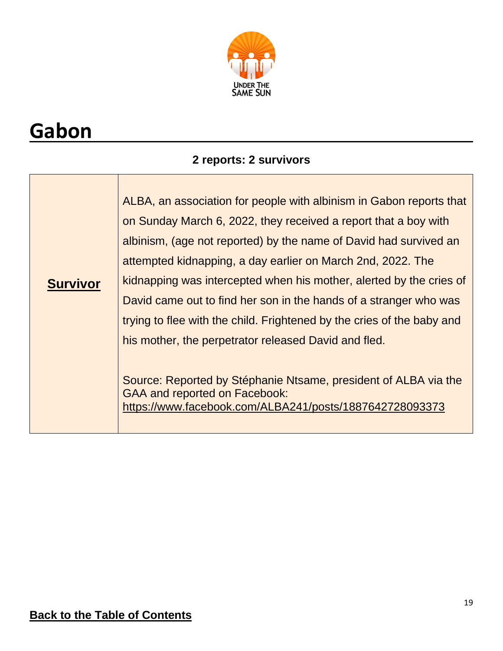

# **Gabon**

### **2 reports: 2 survivors**

| ALBA, an association for people with albinism in Gabon reports that<br>on Sunday March 6, 2022, they received a report that a boy with<br>albinism, (age not reported) by the name of David had survived an<br>attempted kidnapping, a day earlier on March 2nd, 2022. The<br>kidnapping was intercepted when his mother, alerted by the cries of<br>David came out to find her son in the hands of a stranger who was<br>trying to flee with the child. Frightened by the cries of the baby and |
|--------------------------------------------------------------------------------------------------------------------------------------------------------------------------------------------------------------------------------------------------------------------------------------------------------------------------------------------------------------------------------------------------------------------------------------------------------------------------------------------------|
| his mother, the perpetrator released David and fled.<br>Source: Reported by Stéphanie Ntsame, president of ALBA via the<br><b>GAA and reported on Facebook:</b><br>https://www.facebook.com/ALBA241/posts/1887642728093373                                                                                                                                                                                                                                                                       |
|                                                                                                                                                                                                                                                                                                                                                                                                                                                                                                  |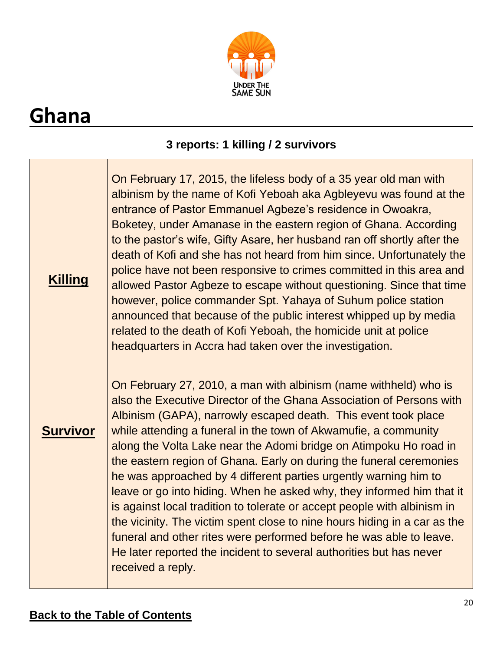

# <span id="page-19-0"></span>**Ghana**

### **3 reports: 1 killing / 2 survivors**

| <b>Killing</b>  | On February 17, 2015, the lifeless body of a 35 year old man with<br>albinism by the name of Kofi Yeboah aka Agbleyevu was found at the<br>entrance of Pastor Emmanuel Agbeze's residence in Owoakra,<br>Boketey, under Amanase in the eastern region of Ghana. According<br>to the pastor's wife, Gifty Asare, her husband ran off shortly after the<br>death of Kofi and she has not heard from him since. Unfortunately the<br>police have not been responsive to crimes committed in this area and<br>allowed Pastor Agbeze to escape without questioning. Since that time<br>however, police commander Spt. Yahaya of Suhum police station<br>announced that because of the public interest whipped up by media<br>related to the death of Kofi Yeboah, the homicide unit at police<br>headquarters in Accra had taken over the investigation.                                                |
|-----------------|----------------------------------------------------------------------------------------------------------------------------------------------------------------------------------------------------------------------------------------------------------------------------------------------------------------------------------------------------------------------------------------------------------------------------------------------------------------------------------------------------------------------------------------------------------------------------------------------------------------------------------------------------------------------------------------------------------------------------------------------------------------------------------------------------------------------------------------------------------------------------------------------------|
| <b>Survivor</b> | On February 27, 2010, a man with albinism (name withheld) who is<br>also the Executive Director of the Ghana Association of Persons with<br>Albinism (GAPA), narrowly escaped death. This event took place<br>while attending a funeral in the town of Akwamufie, a community<br>along the Volta Lake near the Adomi bridge on Atimpoku Ho road in<br>the eastern region of Ghana. Early on during the funeral ceremonies<br>he was approached by 4 different parties urgently warning him to<br>leave or go into hiding. When he asked why, they informed him that it<br>is against local tradition to tolerate or accept people with albinism in<br>the vicinity. The victim spent close to nine hours hiding in a car as the<br>funeral and other rites were performed before he was able to leave.<br>He later reported the incident to several authorities but has never<br>received a reply. |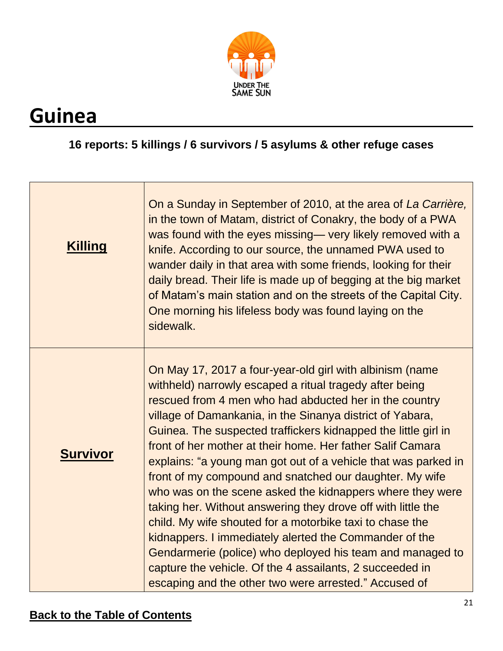

## <span id="page-20-0"></span>**Guinea**

#### **16 reports: 5 killings / 6 survivors / 5 asylums & other refuge cases**

| <b>Killing</b>  | On a Sunday in September of 2010, at the area of La Carrière,<br>in the town of Matam, district of Conakry, the body of a PWA<br>was found with the eyes missing— very likely removed with a<br>knife. According to our source, the unnamed PWA used to<br>wander daily in that area with some friends, looking for their<br>daily bread. Their life is made up of begging at the big market<br>of Matam's main station and on the streets of the Capital City.<br>One morning his lifeless body was found laying on the<br>sidewalk.                                                                                                                                                                                                                                                                                                                                                                                                        |
|-----------------|----------------------------------------------------------------------------------------------------------------------------------------------------------------------------------------------------------------------------------------------------------------------------------------------------------------------------------------------------------------------------------------------------------------------------------------------------------------------------------------------------------------------------------------------------------------------------------------------------------------------------------------------------------------------------------------------------------------------------------------------------------------------------------------------------------------------------------------------------------------------------------------------------------------------------------------------|
| <b>Survivor</b> | On May 17, 2017 a four-year-old girl with albinism (name<br>withheld) narrowly escaped a ritual tragedy after being<br>rescued from 4 men who had abducted her in the country<br>village of Damankania, in the Sinanya district of Yabara,<br>Guinea. The suspected traffickers kidnapped the little girl in<br>front of her mother at their home. Her father Salif Camara<br>explains: "a young man got out of a vehicle that was parked in<br>front of my compound and snatched our daughter. My wife<br>who was on the scene asked the kidnappers where they were<br>taking her. Without answering they drove off with little the<br>child. My wife shouted for a motorbike taxi to chase the<br>kidnappers. I immediately alerted the Commander of the<br>Gendarmerie (police) who deployed his team and managed to<br>capture the vehicle. Of the 4 assailants, 2 succeeded in<br>escaping and the other two were arrested." Accused of |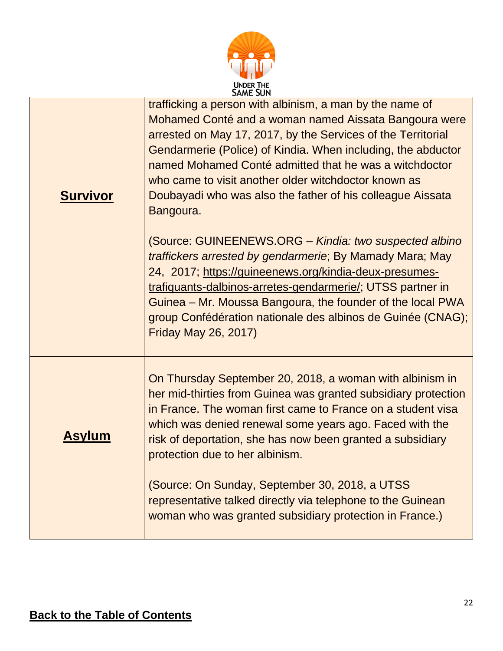

|                 | <b>JAME JUN</b>                                                                                                                                                                                                                                                                                                                                                                                                                                                                                                                                                      |
|-----------------|----------------------------------------------------------------------------------------------------------------------------------------------------------------------------------------------------------------------------------------------------------------------------------------------------------------------------------------------------------------------------------------------------------------------------------------------------------------------------------------------------------------------------------------------------------------------|
| <b>Survivor</b> | trafficking a person with albinism, a man by the name of<br>Mohamed Conté and a woman named Aissata Bangoura were<br>arrested on May 17, 2017, by the Services of the Territorial<br>Gendarmerie (Police) of Kindia. When including, the abductor<br>named Mohamed Conté admitted that he was a witchdoctor<br>who came to visit another older witchdoctor known as<br>Doubayadi who was also the father of his colleague Aissata<br>Bangoura.<br>(Source: GUINEENEWS.ORG - Kindia: two suspected albino<br>traffickers arrested by gendarmerie; By Mamady Mara; May |
|                 | 24, 2017; https://guineenews.org/kindia-deux-presumes-<br>trafiquants-dalbinos-arretes-gendarmerie/; UTSS partner in<br>Guinea – Mr. Moussa Bangoura, the founder of the local PWA<br>group Confédération nationale des albinos de Guinée (CNAG);<br><b>Friday May 26, 2017)</b>                                                                                                                                                                                                                                                                                     |
| Asylum          | On Thursday September 20, 2018, a woman with albinism in<br>her mid-thirties from Guinea was granted subsidiary protection<br>in France. The woman first came to France on a student visa<br>which was denied renewal some years ago. Faced with the<br>risk of deportation, she has now been granted a subsidiary<br>protection due to her albinism.                                                                                                                                                                                                                |
|                 | (Source: On Sunday, September 30, 2018, a UTSS<br>representative talked directly via telephone to the Guinean<br>woman who was granted subsidiary protection in France.)                                                                                                                                                                                                                                                                                                                                                                                             |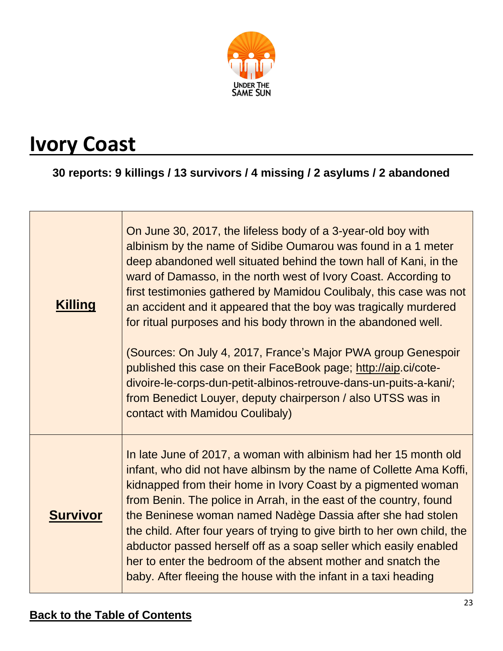

## <span id="page-22-0"></span>**Ivory Coast**

**30 reports: 9 killings / 13 survivors / 4 missing / 2 asylums / 2 abandoned**

| <b>Killing</b>  | On June 30, 2017, the lifeless body of a 3-year-old boy with<br>albinism by the name of Sidibe Oumarou was found in a 1 meter<br>deep abandoned well situated behind the town hall of Kani, in the<br>ward of Damasso, in the north west of Ivory Coast. According to<br>first testimonies gathered by Mamidou Coulibaly, this case was not<br>an accident and it appeared that the boy was tragically murdered<br>for ritual purposes and his body thrown in the abandoned well.                                                                                                                                                  |
|-----------------|------------------------------------------------------------------------------------------------------------------------------------------------------------------------------------------------------------------------------------------------------------------------------------------------------------------------------------------------------------------------------------------------------------------------------------------------------------------------------------------------------------------------------------------------------------------------------------------------------------------------------------|
|                 | (Sources: On July 4, 2017, France's Major PWA group Genespoir<br>published this case on their FaceBook page; http://aip.ci/cote-<br>divoire-le-corps-dun-petit-albinos-retrouve-dans-un-puits-a-kani/;<br>from Benedict Louyer, deputy chairperson / also UTSS was in<br>contact with Mamidou Coulibaly)                                                                                                                                                                                                                                                                                                                           |
| <b>Survivor</b> | In late June of 2017, a woman with albinism had her 15 month old<br>infant, who did not have albinsm by the name of Collette Ama Koffi,<br>kidnapped from their home in Ivory Coast by a pigmented woman<br>from Benin. The police in Arrah, in the east of the country, found<br>the Beninese woman named Nadège Dassia after she had stolen<br>the child. After four years of trying to give birth to her own child, the<br>abductor passed herself off as a soap seller which easily enabled<br>her to enter the bedroom of the absent mother and snatch the<br>baby. After fleeing the house with the infant in a taxi heading |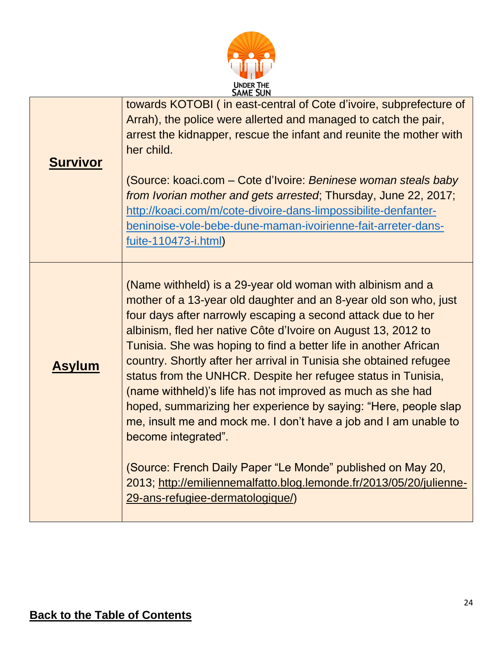| UNDER THE<br>SAME SUN |
|-----------------------|

| <b>Survivor</b> | towards KOTOBI (in east-central of Cote d'ivoire, subprefecture of<br>Arrah), the police were allerted and managed to catch the pair,<br>arrest the kidnapper, rescue the infant and reunite the mother with<br>her child.<br>(Source: koaci.com – Cote d'Ivoire: Beninese woman steals baby<br>from Ivorian mother and gets arrested; Thursday, June 22, 2017;<br>http://koaci.com/m/cote-divoire-dans-limpossibilite-denfanter-<br>beninoise-vole-bebe-dune-maman-ivoirienne-fait-arreter-dans-<br>fuite-110473-i.html)                                                                                                                                                                                                                                                                                                                                                        |
|-----------------|----------------------------------------------------------------------------------------------------------------------------------------------------------------------------------------------------------------------------------------------------------------------------------------------------------------------------------------------------------------------------------------------------------------------------------------------------------------------------------------------------------------------------------------------------------------------------------------------------------------------------------------------------------------------------------------------------------------------------------------------------------------------------------------------------------------------------------------------------------------------------------|
| <b>Asylum</b>   | (Name withheld) is a 29-year old woman with albinism and a<br>mother of a 13-year old daughter and an 8-year old son who, just<br>four days after narrowly escaping a second attack due to her<br>albinism, fled her native Côte d'Ivoire on August 13, 2012 to<br>Tunisia. She was hoping to find a better life in another African<br>country. Shortly after her arrival in Tunisia she obtained refugee<br>status from the UNHCR. Despite her refugee status in Tunisia,<br>(name withheld)'s life has not improved as much as she had<br>hoped, summarizing her experience by saying: "Here, people slap<br>me, insult me and mock me. I don't have a job and I am unable to<br>become integrated".<br>(Source: French Daily Paper "Le Monde" published on May 20,<br>2013; http://emiliennemalfatto.blog.lemonde.fr/2013/05/20/julienne-<br>29-ans-refugiee-dermatologique/) |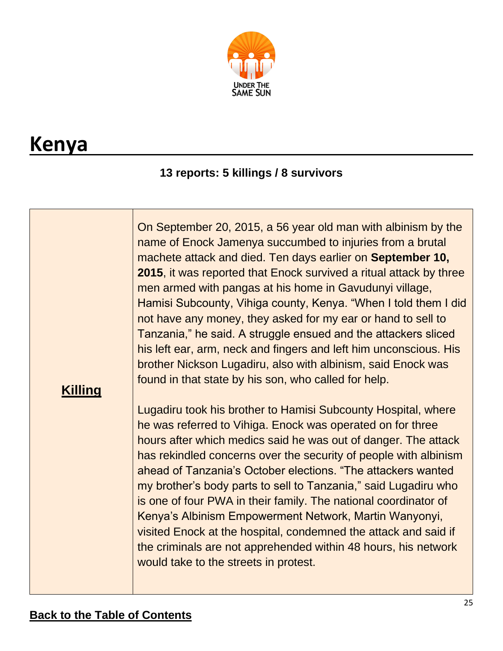

## <span id="page-24-0"></span>**Kenya**

### **13 reports: 5 killings / 8 survivors**

| <b>Killing</b> | On September 20, 2015, a 56 year old man with albinism by the<br>name of Enock Jamenya succumbed to injuries from a brutal<br>machete attack and died. Ten days earlier on September 10,<br>2015, it was reported that Enock survived a ritual attack by three<br>men armed with pangas at his home in Gavudunyi village,<br>Hamisi Subcounty, Vihiga county, Kenya. "When I told them I did<br>not have any money, they asked for my ear or hand to sell to<br>Tanzania," he said. A struggle ensued and the attackers sliced<br>his left ear, arm, neck and fingers and left him unconscious. His<br>brother Nickson Lugadiru, also with albinism, said Enock was<br>found in that state by his son, who called for help. |
|----------------|-----------------------------------------------------------------------------------------------------------------------------------------------------------------------------------------------------------------------------------------------------------------------------------------------------------------------------------------------------------------------------------------------------------------------------------------------------------------------------------------------------------------------------------------------------------------------------------------------------------------------------------------------------------------------------------------------------------------------------|
|                | Lugadiru took his brother to Hamisi Subcounty Hospital, where<br>he was referred to Vihiga. Enock was operated on for three<br>hours after which medics said he was out of danger. The attack<br>has rekindled concerns over the security of people with albinism<br>ahead of Tanzania's October elections. "The attackers wanted<br>my brother's body parts to sell to Tanzania," said Lugadiru who<br>is one of four PWA in their family. The national coordinator of<br>Kenya's Albinism Empowerment Network, Martin Wanyonyi,<br>visited Enock at the hospital, condemned the attack and said if<br>the criminals are not apprehended within 48 hours, his network<br>would take to the streets in protest.             |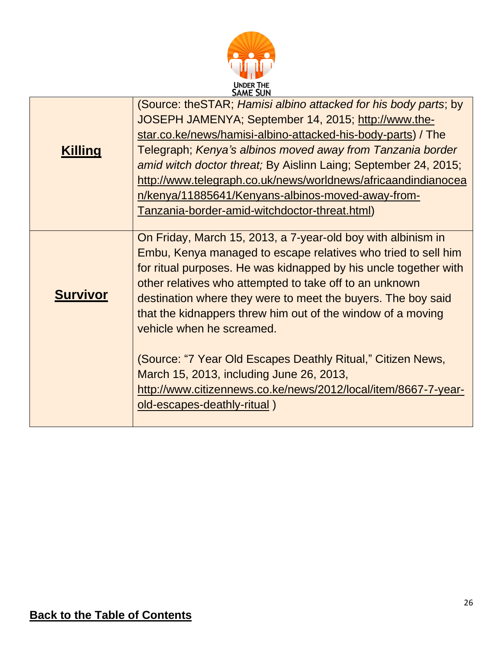

<span id="page-25-0"></span>

|                 | <b>SAME SUN</b>                                                                                                                                                                                                                                                                                                                                                                                                                                                                                |
|-----------------|------------------------------------------------------------------------------------------------------------------------------------------------------------------------------------------------------------------------------------------------------------------------------------------------------------------------------------------------------------------------------------------------------------------------------------------------------------------------------------------------|
| <b>Killing</b>  | (Source: theSTAR; Hamisi albino attacked for his body parts; by<br>JOSEPH JAMENYA; September 14, 2015; http://www.the-<br>star.co.ke/news/hamisi-albino-attacked-his-body-parts) / The<br>Telegraph; Kenya's albinos moved away from Tanzania border<br>amid witch doctor threat; By Aislinn Laing; September 24, 2015;<br>http://www.telegraph.co.uk/news/worldnews/africaandindianocea<br>n/kenya/11885641/Kenyans-albinos-moved-away-from-<br>Tanzania-border-amid-witchdoctor-threat.html) |
| <b>Survivor</b> | On Friday, March 15, 2013, a 7-year-old boy with albinism in<br>Embu, Kenya managed to escape relatives who tried to sell him<br>for ritual purposes. He was kidnapped by his uncle together with<br>other relatives who attempted to take off to an unknown<br>destination where they were to meet the buyers. The boy said<br>that the kidnappers threw him out of the window of a moving<br>vehicle when he screamed.                                                                       |
|                 | (Source: "7 Year Old Escapes Deathly Ritual," Citizen News,<br>March 15, 2013, including June 26, 2013,<br>http://www.citizennews.co.ke/news/2012/local/item/8667-7-year-<br>old-escapes-deathly-ritual)                                                                                                                                                                                                                                                                                       |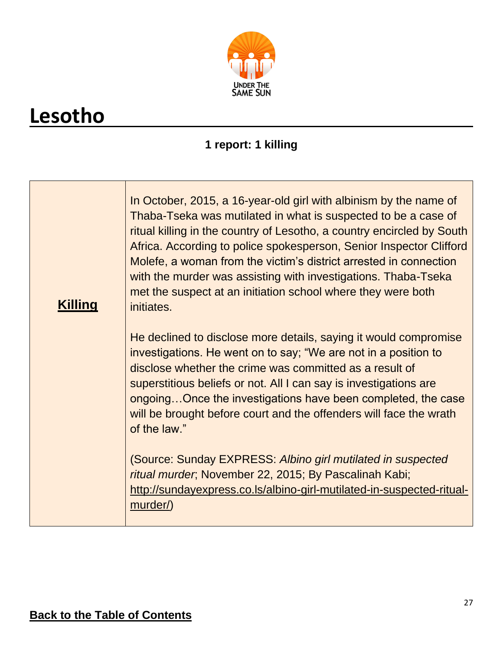

# **Lesotho**

### **1 report: 1 killing**

| <b>Killing</b> | In October, 2015, a 16-year-old girl with albinism by the name of<br>Thaba-Tseka was mutilated in what is suspected to be a case of<br>ritual killing in the country of Lesotho, a country encircled by South<br>Africa. According to police spokesperson, Senior Inspector Clifford<br>Molefe, a woman from the victim's district arrested in connection<br>with the murder was assisting with investigations. Thaba-Tseka<br>met the suspect at an initiation school where they were both<br>initiates. |
|----------------|-----------------------------------------------------------------------------------------------------------------------------------------------------------------------------------------------------------------------------------------------------------------------------------------------------------------------------------------------------------------------------------------------------------------------------------------------------------------------------------------------------------|
|                | He declined to disclose more details, saying it would compromise<br>investigations. He went on to say; "We are not in a position to<br>disclose whether the crime was committed as a result of<br>superstitious beliefs or not. All I can say is investigations are<br>ongoingOnce the investigations have been completed, the case<br>will be brought before court and the offenders will face the wrath<br>of the law."                                                                                 |
|                | (Source: Sunday EXPRESS: Albino girl mutilated in suspected<br>ritual murder, November 22, 2015; By Pascalinah Kabi;<br>http://sundayexpress.co.ls/albino-girl-mutilated-in-suspected-ritual-<br>murder/)                                                                                                                                                                                                                                                                                                 |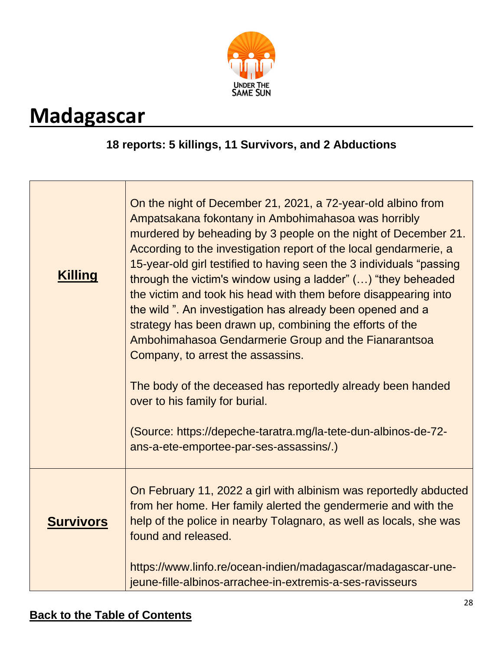

## <span id="page-27-0"></span>**Madagascar**

#### **18 reports: 5 killings, 11 Survivors, and 2 Abductions**

| <b>Killing</b>   | On the night of December 21, 2021, a 72-year-old albino from<br>Ampatsakana fokontany in Ambohimahasoa was horribly<br>murdered by beheading by 3 people on the night of December 21.<br>According to the investigation report of the local gendarmerie, a<br>15-year-old girl testified to having seen the 3 individuals "passing<br>through the victim's window using a ladder" () "they beheaded<br>the victim and took his head with them before disappearing into<br>the wild". An investigation has already been opened and a<br>strategy has been drawn up, combining the efforts of the<br>Ambohimahasoa Gendarmerie Group and the Fianarantsoa<br>Company, to arrest the assassins.<br>The body of the deceased has reportedly already been handed<br>over to his family for burial.<br>(Source: https://depeche-taratra.mg/la-tete-dun-albinos-de-72-<br>ans-a-ete-emportee-par-ses-assassins.) |
|------------------|-----------------------------------------------------------------------------------------------------------------------------------------------------------------------------------------------------------------------------------------------------------------------------------------------------------------------------------------------------------------------------------------------------------------------------------------------------------------------------------------------------------------------------------------------------------------------------------------------------------------------------------------------------------------------------------------------------------------------------------------------------------------------------------------------------------------------------------------------------------------------------------------------------------|
| <b>Survivors</b> | On February 11, 2022 a girl with albinism was reportedly abducted<br>from her home. Her family alerted the gendermerie and with the<br>help of the police in nearby Tolagnaro, as well as locals, she was<br>found and released.<br>https://www.linfo.re/ocean-indien/madagascar/madagascar-une-<br>jeune-fille-albinos-arrachee-in-extremis-a-ses-ravisseurs                                                                                                                                                                                                                                                                                                                                                                                                                                                                                                                                             |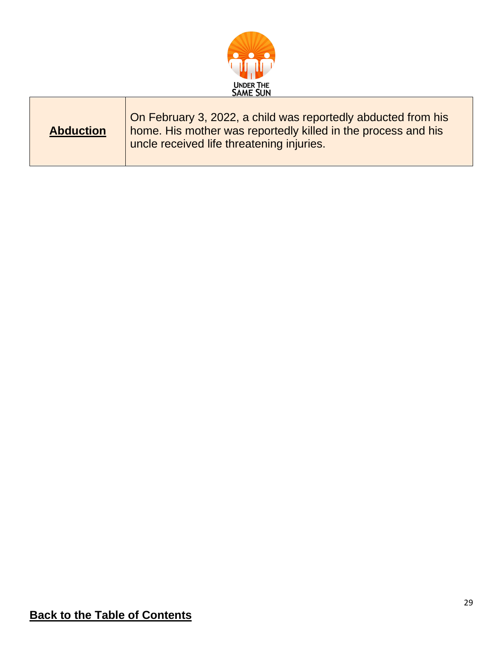

<span id="page-28-0"></span>

| <b>Abduction</b> | On February 3, 2022, a child was reportedly abducted from his<br>home. His mother was reportedly killed in the process and his<br>uncle received life threatening injuries. |
|------------------|-----------------------------------------------------------------------------------------------------------------------------------------------------------------------------|
|------------------|-----------------------------------------------------------------------------------------------------------------------------------------------------------------------------|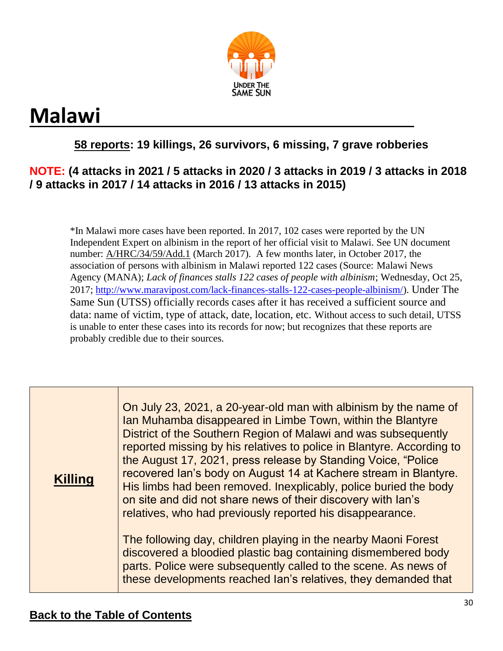

# **Malawi**

### **58 reports: 19 killings, 26 survivors, 6 missing, 7 grave robberies**

#### **NOTE: (4 attacks in 2021 / 5 attacks in 2020 / 3 attacks in 2019 / 3 attacks in 2018 / 9 attacks in 2017 / 14 attacks in 2016 / 13 attacks in 2015)**

\*In Malawi more cases have been reported. In 2017, 102 cases were reported by the UN Independent Expert on albinism in the report of her official visit to Malawi. See UN document number: A/HRC/34/59/Add.1 (March 2017). A few months later, in October 2017, the association of persons with albinism in Malawi reported 122 cases (Source: Malawi News Agency (MANA); *Lack of finances stalls 122 cases of people with albinism*; Wednesday, Oct 25, 2017; http://www.maravipost.com/lack-finances-stalls-122-cases-people-albinism/). Under The Same Sun (UTSS) officially records cases after it has received a sufficient source and data: name of victim, type of attack, date, location, etc. Without access to such detail, UTSS is unable to enter these cases into its records for now; but recognizes that these reports are probably credible due to their sources.

| <b>Killing</b> | On July 23, 2021, a 20-year-old man with albinism by the name of<br>Ian Muhamba disappeared in Limbe Town, within the Blantyre<br>District of the Southern Region of Malawi and was subsequently<br>reported missing by his relatives to police in Blantyre. According to<br>the August 17, 2021, press release by Standing Voice, "Police"<br>recovered Ian's body on August 14 at Kachere stream in Blantyre.<br>His limbs had been removed. Inexplicably, police buried the body<br>on site and did not share news of their discovery with lan's<br>relatives, who had previously reported his disappearance. |
|----------------|------------------------------------------------------------------------------------------------------------------------------------------------------------------------------------------------------------------------------------------------------------------------------------------------------------------------------------------------------------------------------------------------------------------------------------------------------------------------------------------------------------------------------------------------------------------------------------------------------------------|
|                | The following day, children playing in the nearby Maoni Forest<br>discovered a bloodied plastic bag containing dismembered body<br>parts. Police were subsequently called to the scene. As news of<br>these developments reached Ian's relatives, they demanded that                                                                                                                                                                                                                                                                                                                                             |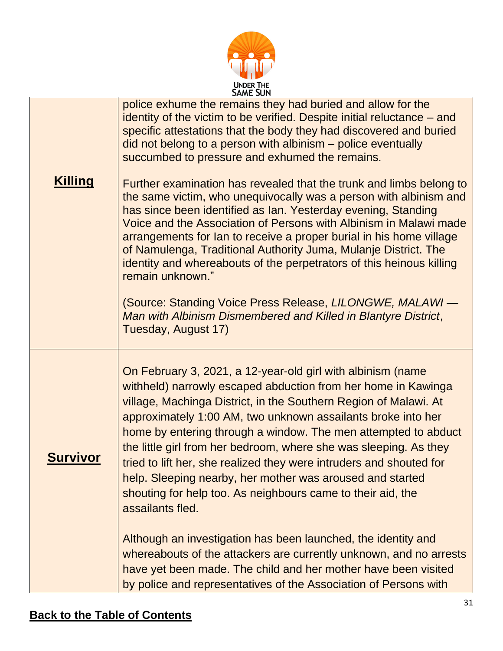|                 | <b>UNDER THE</b><br><b>SAME SUN</b>                                                                                                                                                                                                                                                                                                                                                                                                                                                                                                                                                                                                                                        |
|-----------------|----------------------------------------------------------------------------------------------------------------------------------------------------------------------------------------------------------------------------------------------------------------------------------------------------------------------------------------------------------------------------------------------------------------------------------------------------------------------------------------------------------------------------------------------------------------------------------------------------------------------------------------------------------------------------|
|                 | police exhume the remains they had buried and allow for the<br>identity of the victim to be verified. Despite initial reluctance – and<br>specific attestations that the body they had discovered and buried<br>did not belong to a person with albinism – police eventually<br>succumbed to pressure and exhumed the remains.                                                                                                                                                                                                                                                                                                                                             |
| <b>Killing</b>  | Further examination has revealed that the trunk and limbs belong to<br>the same victim, who unequivocally was a person with albinism and<br>has since been identified as Ian. Yesterday evening, Standing<br>Voice and the Association of Persons with Albinism in Malawi made<br>arrangements for lan to receive a proper burial in his home village<br>of Namulenga, Traditional Authority Juma, Mulanje District. The<br>identity and whereabouts of the perpetrators of this heinous killing<br>remain unknown."<br>(Source: Standing Voice Press Release, LILONGWE, MALAWI -<br>Man with Albinism Dismembered and Killed in Blantyre District,<br>Tuesday, August 17) |
| <b>Survivor</b> | On February 3, 2021, a 12-year-old girl with albinism (name<br>withheld) narrowly escaped abduction from her home in Kawinga<br>village, Machinga District, in the Southern Region of Malawi. At<br>approximately 1:00 AM, two unknown assailants broke into her<br>home by entering through a window. The men attempted to abduct<br>the little girl from her bedroom, where she was sleeping. As they<br>tried to lift her, she realized they were intruders and shouted for<br>help. Sleeping nearby, her mother was aroused and started<br>shouting for help too. As neighbours came to their aid, the<br>assailants fled.                                             |
|                 | Although an investigation has been launched, the identity and<br>whereabouts of the attackers are currently unknown, and no arrests<br>have yet been made. The child and her mother have been visited<br>by police and representatives of the Association of Persons with                                                                                                                                                                                                                                                                                                                                                                                                  |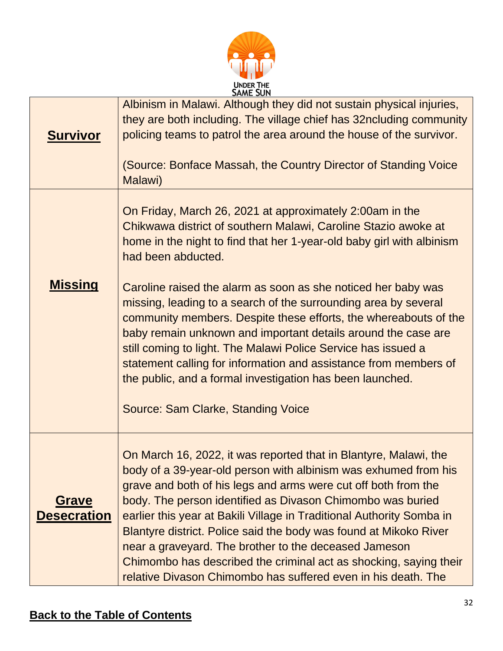

| <u>Survivor</u>                    | JAME JUN<br>Albinism in Malawi. Although they did not sustain physical injuries,<br>they are both including. The village chief has 32ncluding community<br>policing teams to patrol the area around the house of the survivor.<br>(Source: Bonface Massah, the Country Director of Standing Voice                                                                                                                                                                                                                                                                                                                                                                                                                                                     |
|------------------------------------|-------------------------------------------------------------------------------------------------------------------------------------------------------------------------------------------------------------------------------------------------------------------------------------------------------------------------------------------------------------------------------------------------------------------------------------------------------------------------------------------------------------------------------------------------------------------------------------------------------------------------------------------------------------------------------------------------------------------------------------------------------|
| <u>Missing</u>                     | Malawi)<br>On Friday, March 26, 2021 at approximately 2:00am in the<br>Chikwawa district of southern Malawi, Caroline Stazio awoke at<br>home in the night to find that her 1-year-old baby girl with albinism<br>had been abducted.<br>Caroline raised the alarm as soon as she noticed her baby was<br>missing, leading to a search of the surrounding area by several<br>community members. Despite these efforts, the whereabouts of the<br>baby remain unknown and important details around the case are<br>still coming to light. The Malawi Police Service has issued a<br>statement calling for information and assistance from members of<br>the public, and a formal investigation has been launched.<br>Source: Sam Clarke, Standing Voice |
| <b>Grave</b><br><b>Desecration</b> | On March 16, 2022, it was reported that in Blantyre, Malawi, the<br>body of a 39-year-old person with albinism was exhumed from his<br>grave and both of his legs and arms were cut off both from the<br>body. The person identified as Divason Chimombo was buried<br>earlier this year at Bakili Village in Traditional Authority Somba in<br>Blantyre district. Police said the body was found at Mikoko River<br>near a graveyard. The brother to the deceased Jameson<br>Chimombo has described the criminal act as shocking, saying their<br>relative Divason Chimombo has suffered even in his death. The                                                                                                                                      |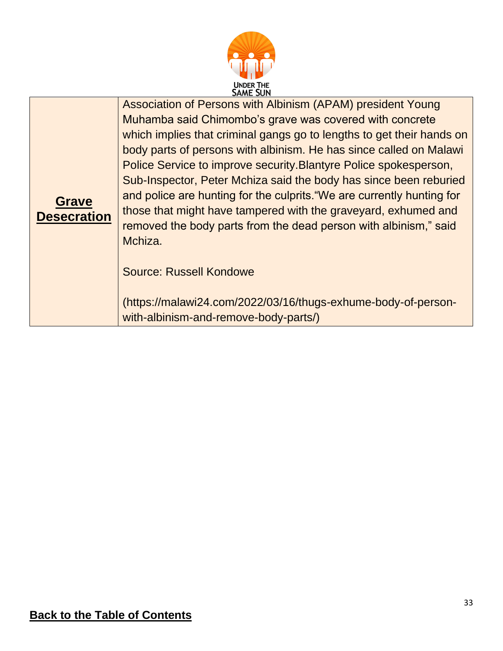

|                    | <b>DAME JUN</b>                                                        |
|--------------------|------------------------------------------------------------------------|
|                    | Association of Persons with Albinism (APAM) president Young            |
|                    | Muhamba said Chimombo's grave was covered with concrete                |
|                    | which implies that criminal gangs go to lengths to get their hands on  |
|                    | body parts of persons with albinism. He has since called on Malawi     |
|                    | Police Service to improve security. Blantyre Police spokesperson,      |
|                    | Sub-Inspector, Peter Mchiza said the body has since been reburied      |
|                    | and police are hunting for the culprits. "We are currently hunting for |
| <b>Grave</b>       | those that might have tampered with the graveyard, exhumed and         |
| <b>Desecration</b> | removed the body parts from the dead person with albinism," said       |
|                    | Mchiza.                                                                |
|                    |                                                                        |
|                    | <b>Source: Russell Kondowe</b>                                         |
|                    |                                                                        |
|                    | (https://malawi24.com/2022/03/16/thugs-exhume-body-of-person-          |
|                    | with-albinism-and-remove-body-parts/)                                  |
|                    |                                                                        |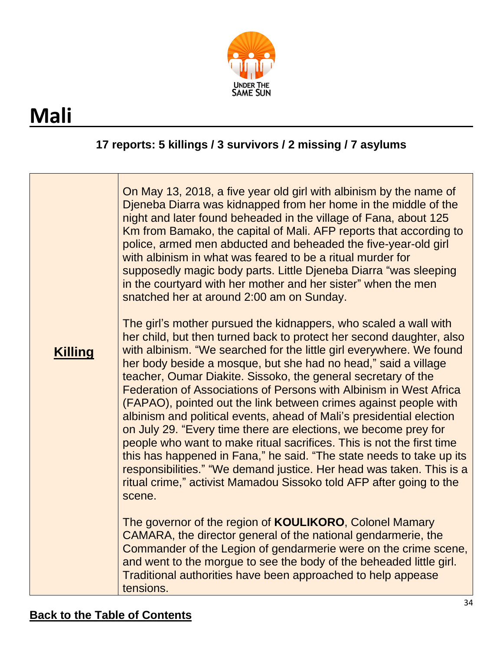

# <span id="page-33-0"></span>**Mali**

### **17 reports: 5 killings / 3 survivors / 2 missing / 7 asylums**

|                | On May 13, 2018, a five year old girl with albinism by the name of<br>Djeneba Diarra was kidnapped from her home in the middle of the<br>night and later found beheaded in the village of Fana, about 125<br>Km from Bamako, the capital of Mali. AFP reports that according to<br>police, armed men abducted and beheaded the five-year-old girl<br>with albinism in what was feared to be a ritual murder for<br>supposedly magic body parts. Little Djeneba Diarra "was sleeping<br>in the courtyard with her mother and her sister" when the men<br>snatched her at around 2:00 am on Sunday.                                                                                                                                                                                                                                                                                                                                                  |
|----------------|----------------------------------------------------------------------------------------------------------------------------------------------------------------------------------------------------------------------------------------------------------------------------------------------------------------------------------------------------------------------------------------------------------------------------------------------------------------------------------------------------------------------------------------------------------------------------------------------------------------------------------------------------------------------------------------------------------------------------------------------------------------------------------------------------------------------------------------------------------------------------------------------------------------------------------------------------|
| <b>Killing</b> | The girl's mother pursued the kidnappers, who scaled a wall with<br>her child, but then turned back to protect her second daughter, also<br>with albinism. "We searched for the little girl everywhere. We found<br>her body beside a mosque, but she had no head," said a village<br>teacher, Oumar Diakite. Sissoko, the general secretary of the<br>Federation of Associations of Persons with Albinism in West Africa<br>(FAPAO), pointed out the link between crimes against people with<br>albinism and political events, ahead of Mali's presidential election<br>on July 29. "Every time there are elections, we become prey for<br>people who want to make ritual sacrifices. This is not the first time<br>this has happened in Fana," he said. "The state needs to take up its<br>responsibilities." "We demand justice. Her head was taken. This is a<br>ritual crime," activist Mamadou Sissoko told AFP after going to the<br>scene. |
|                | The governor of the region of <b>KOULIKORO</b> , Colonel Mamary<br>CAMARA, the director general of the national gendarmerie, the<br>Commander of the Legion of gendarmerie were on the crime scene,<br>and went to the morgue to see the body of the beheaded little girl.<br>Traditional authorities have been approached to help appease<br>tensions.                                                                                                                                                                                                                                                                                                                                                                                                                                                                                                                                                                                            |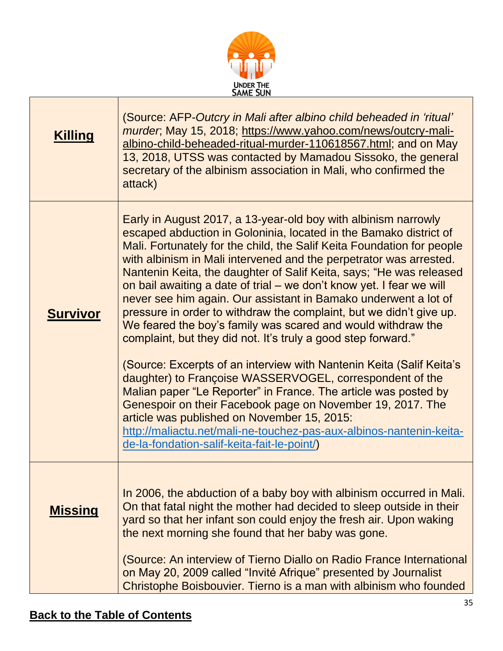

| <b>Killing</b>  | (Source: AFP-Outcry in Mali after albino child beheaded in 'ritual'<br>murder, May 15, 2018; https://www.yahoo.com/news/outcry-mali-<br>albino-child-beheaded-ritual-murder-110618567.html; and on May<br>13, 2018, UTSS was contacted by Mamadou Sissoko, the general<br>secretary of the albinism association in Mali, who confirmed the<br>attack)                                                                                                                                                                                                                                                                                                                                                                                                                                                                                                                                                                                                                                                                                                                                                                                                   |
|-----------------|---------------------------------------------------------------------------------------------------------------------------------------------------------------------------------------------------------------------------------------------------------------------------------------------------------------------------------------------------------------------------------------------------------------------------------------------------------------------------------------------------------------------------------------------------------------------------------------------------------------------------------------------------------------------------------------------------------------------------------------------------------------------------------------------------------------------------------------------------------------------------------------------------------------------------------------------------------------------------------------------------------------------------------------------------------------------------------------------------------------------------------------------------------|
| <b>Survivor</b> | Early in August 2017, a 13-year-old boy with albinism narrowly<br>escaped abduction in Goloninia, located in the Bamako district of<br>Mali. Fortunately for the child, the Salif Keita Foundation for people<br>with albinism in Mali intervened and the perpetrator was arrested.<br>Nantenin Keita, the daughter of Salif Keita, says; "He was released<br>on bail awaiting a date of trial – we don't know yet. I fear we will<br>never see him again. Our assistant in Bamako underwent a lot of<br>pressure in order to withdraw the complaint, but we didn't give up.<br>We feared the boy's family was scared and would withdraw the<br>complaint, but they did not. It's truly a good step forward."<br>(Source: Excerpts of an interview with Nantenin Keita (Salif Keita's<br>daughter) to Françoise WASSERVOGEL, correspondent of the<br>Malian paper "Le Reporter" in France. The article was posted by<br>Genespoir on their Facebook page on November 19, 2017. The<br>article was published on November 15, 2015:<br>http://maliactu.net/mali-ne-touchez-pas-aux-albinos-nantenin-keita-<br>de-la-fondation-salif-keita-fait-le-point/) |
| <u>Missing</u>  | In 2006, the abduction of a baby boy with albinism occurred in Mali.<br>On that fatal night the mother had decided to sleep outside in their<br>yard so that her infant son could enjoy the fresh air. Upon waking<br>the next morning she found that her baby was gone.<br>(Source: An interview of Tierno Diallo on Radio France International<br>on May 20, 2009 called "Invité Afrique" presented by Journalist<br>Christophe Boisbouvier. Tierno is a man with albinism who founded                                                                                                                                                                                                                                                                                                                                                                                                                                                                                                                                                                                                                                                                |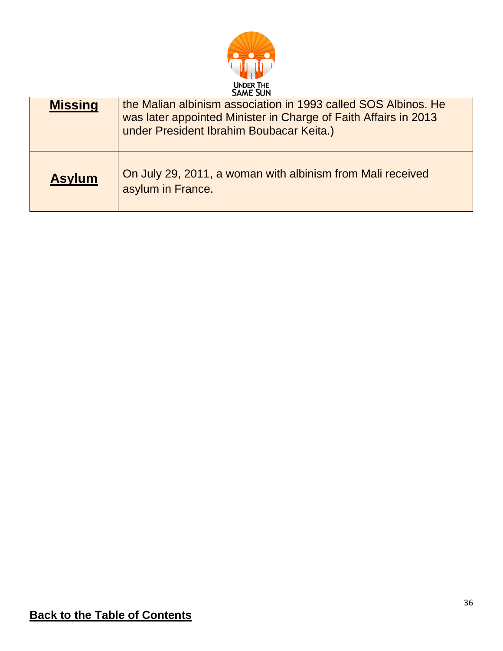

| <b>Missing</b> | the Malian albinism association in 1993 called SOS Albinos. He<br>was later appointed Minister in Charge of Faith Affairs in 2013<br>under President Ibrahim Boubacar Keita.) |
|----------------|-------------------------------------------------------------------------------------------------------------------------------------------------------------------------------|
| <b>Asylum</b>  | On July 29, 2011, a woman with albinism from Mali received<br>asylum in France.                                                                                               |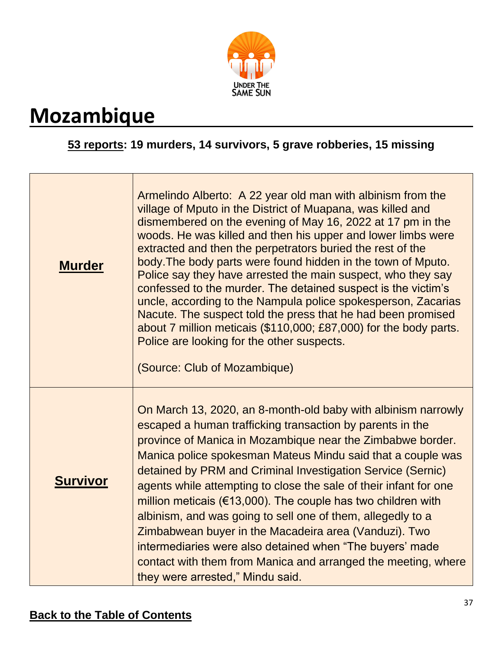

## <span id="page-36-0"></span>**Mozambique**

### **53 reports: 19 murders, 14 survivors, 5 grave robberies, 15 missing**

| <b>Murder</b>   | Armelindo Alberto: A 22 year old man with albinism from the<br>village of Mputo in the District of Muapana, was killed and<br>dismembered on the evening of May 16, 2022 at 17 pm in the<br>woods. He was killed and then his upper and lower limbs were<br>extracted and then the perpetrators buried the rest of the<br>body. The body parts were found hidden in the town of Mputo.<br>Police say they have arrested the main suspect, who they say<br>confessed to the murder. The detained suspect is the victim's<br>uncle, according to the Nampula police spokesperson, Zacarias<br>Nacute. The suspect told the press that he had been promised<br>about 7 million meticais (\$110,000; £87,000) for the body parts.<br>Police are looking for the other suspects.<br>(Source: Club of Mozambique) |
|-----------------|-------------------------------------------------------------------------------------------------------------------------------------------------------------------------------------------------------------------------------------------------------------------------------------------------------------------------------------------------------------------------------------------------------------------------------------------------------------------------------------------------------------------------------------------------------------------------------------------------------------------------------------------------------------------------------------------------------------------------------------------------------------------------------------------------------------|
| <b>Survivor</b> | On March 13, 2020, an 8-month-old baby with albinism narrowly<br>escaped a human trafficking transaction by parents in the<br>province of Manica in Mozambique near the Zimbabwe border.<br>Manica police spokesman Mateus Mindu said that a couple was<br>detained by PRM and Criminal Investigation Service (Sernic)<br>agents while attempting to close the sale of their infant for one<br>million meticais ( $\epsilon$ 13,000). The couple has two children with<br>albinism, and was going to sell one of them, allegedly to a<br>Zimbabwean buyer in the Macadeira area (Vanduzi). Two<br>intermediaries were also detained when "The buyers' made<br>contact with them from Manica and arranged the meeting, where<br>they were arrested," Mindu said.                                             |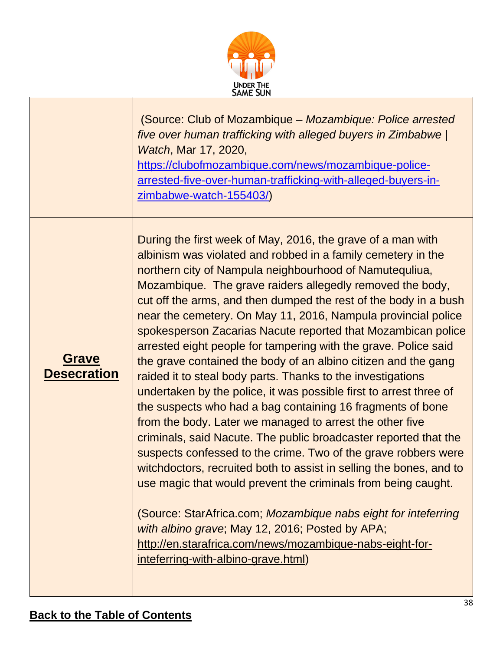

|                                    | (Source: Club of Mozambique – Mozambique: Police arrested<br>five over human trafficking with alleged buyers in Zimbabwe  <br><i>Watch</i> , Mar 17, 2020,<br>https://clubofmozambique.com/news/mozambique-police-<br>arrested-five-over-human-trafficking-with-alleged-buyers-in-<br>zimbabwe-watch-155403/)                                                                                                                                                                                                                                                                                                                                                                                                                                                                                                                                                                                                                                                                                                                                                                                                                                                                                                                                                                                                                                                      |
|------------------------------------|--------------------------------------------------------------------------------------------------------------------------------------------------------------------------------------------------------------------------------------------------------------------------------------------------------------------------------------------------------------------------------------------------------------------------------------------------------------------------------------------------------------------------------------------------------------------------------------------------------------------------------------------------------------------------------------------------------------------------------------------------------------------------------------------------------------------------------------------------------------------------------------------------------------------------------------------------------------------------------------------------------------------------------------------------------------------------------------------------------------------------------------------------------------------------------------------------------------------------------------------------------------------------------------------------------------------------------------------------------------------|
| <b>Grave</b><br><b>Desecration</b> | During the first week of May, 2016, the grave of a man with<br>albinism was violated and robbed in a family cemetery in the<br>northern city of Nampula neighbourhood of Namutequliua,<br>Mozambique. The grave raiders allegedly removed the body,<br>cut off the arms, and then dumped the rest of the body in a bush<br>near the cemetery. On May 11, 2016, Nampula provincial police<br>spokesperson Zacarias Nacute reported that Mozambican police<br>arrested eight people for tampering with the grave. Police said<br>the grave contained the body of an albino citizen and the gang<br>raided it to steal body parts. Thanks to the investigations<br>undertaken by the police, it was possible first to arrest three of<br>the suspects who had a bag containing 16 fragments of bone<br>from the body. Later we managed to arrest the other five<br>criminals, said Nacute. The public broadcaster reported that the<br>suspects confessed to the crime. Two of the grave robbers were<br>witchdoctors, recruited both to assist in selling the bones, and to<br>use magic that would prevent the criminals from being caught.<br>(Source: StarAfrica.com; Mozambique nabs eight for inteferring<br>with albino grave; May 12, 2016; Posted by APA;<br>http://en.starafrica.com/news/mozambique-nabs-eight-for-<br>inteferring-with-albino-grave.html) |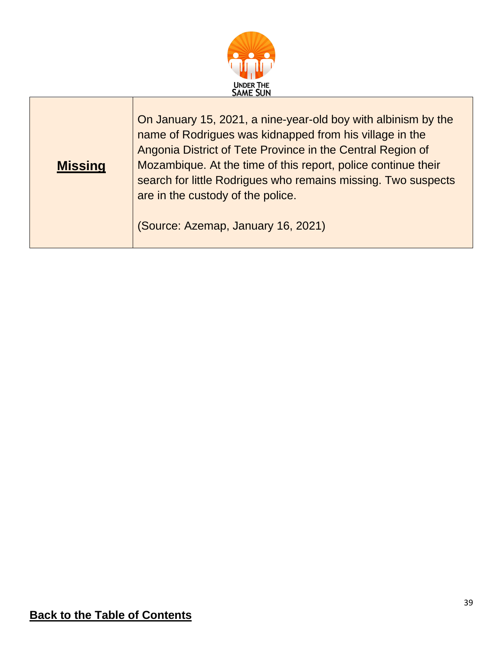

| <b>Missing</b> | On January 15, 2021, a nine-year-old boy with albinism by the<br>name of Rodrigues was kidnapped from his village in the<br>Angonia District of Tete Province in the Central Region of<br>Mozambique. At the time of this report, police continue their<br>search for little Rodrigues who remains missing. Two suspects<br>are in the custody of the police. |
|----------------|---------------------------------------------------------------------------------------------------------------------------------------------------------------------------------------------------------------------------------------------------------------------------------------------------------------------------------------------------------------|
|                | (Source: Azemap, January 16, 2021)                                                                                                                                                                                                                                                                                                                            |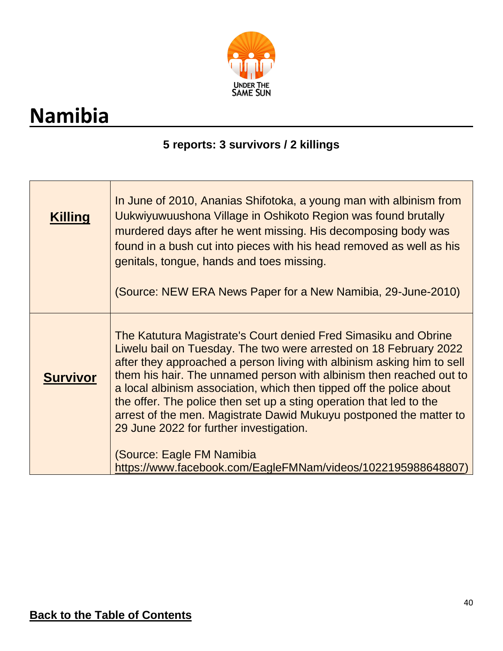

# <span id="page-39-0"></span>**Namibia**

 $\mathbf{r}$ 

#### **5 reports: 3 survivors / 2 killings**

| <b>Killing</b>  | In June of 2010, Ananias Shifotoka, a young man with albinism from<br>Uukwiyuwuushona Village in Oshikoto Region was found brutally<br>murdered days after he went missing. His decomposing body was<br>found in a bush cut into pieces with his head removed as well as his<br>genitals, tongue, hands and toes missing.<br>(Source: NEW ERA News Paper for a New Namibia, 29-June-2010)                                                                                                                                                                                                                                                          |
|-----------------|----------------------------------------------------------------------------------------------------------------------------------------------------------------------------------------------------------------------------------------------------------------------------------------------------------------------------------------------------------------------------------------------------------------------------------------------------------------------------------------------------------------------------------------------------------------------------------------------------------------------------------------------------|
| <b>Survivor</b> | The Katutura Magistrate's Court denied Fred Simasiku and Obrine<br>Liwelu bail on Tuesday. The two were arrested on 18 February 2022<br>after they approached a person living with albinism asking him to sell<br>them his hair. The unnamed person with albinism then reached out to<br>a local albinism association, which then tipped off the police about<br>the offer. The police then set up a sting operation that led to the<br>arrest of the men. Magistrate Dawid Mukuyu postponed the matter to<br>29 June 2022 for further investigation.<br>(Source: Eagle FM Namibia<br>https://www.facebook.com/EagleFMNam/videos/1022195988648807) |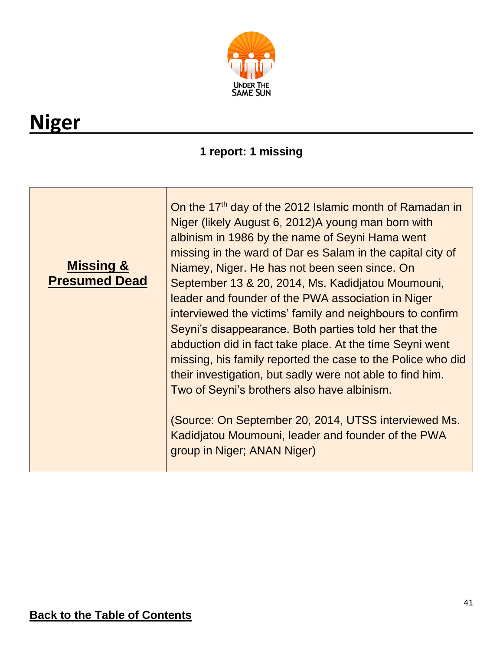

# <span id="page-40-0"></span>**Niger**

### **1 report: 1 missing**

| <b>Missing &amp;</b><br><b>Presumed Dead</b> | On the 17 <sup>th</sup> day of the 2012 Islamic month of Ramadan in<br>Niger (likely August 6, 2012) A young man born with<br>albinism in 1986 by the name of Seyni Hama went<br>missing in the ward of Dar es Salam in the capital city of<br>Niamey, Niger. He has not been seen since. On<br>September 13 & 20, 2014, Ms. Kadidjatou Moumouni,<br>leader and founder of the PWA association in Niger<br>interviewed the victims' family and neighbours to confirm<br>Seyni's disappearance. Both parties told her that the<br>abduction did in fact take place. At the time Seyni went<br>missing, his family reported the case to the Police who did<br>their investigation, but sadly were not able to find him.<br>Two of Seyni's brothers also have albinism. |
|----------------------------------------------|----------------------------------------------------------------------------------------------------------------------------------------------------------------------------------------------------------------------------------------------------------------------------------------------------------------------------------------------------------------------------------------------------------------------------------------------------------------------------------------------------------------------------------------------------------------------------------------------------------------------------------------------------------------------------------------------------------------------------------------------------------------------|
|                                              | (Source: On September 20, 2014, UTSS interviewed Ms.<br>Kadidjatou Moumouni, leader and founder of the PWA<br>group in Niger; ANAN Niger)                                                                                                                                                                                                                                                                                                                                                                                                                                                                                                                                                                                                                            |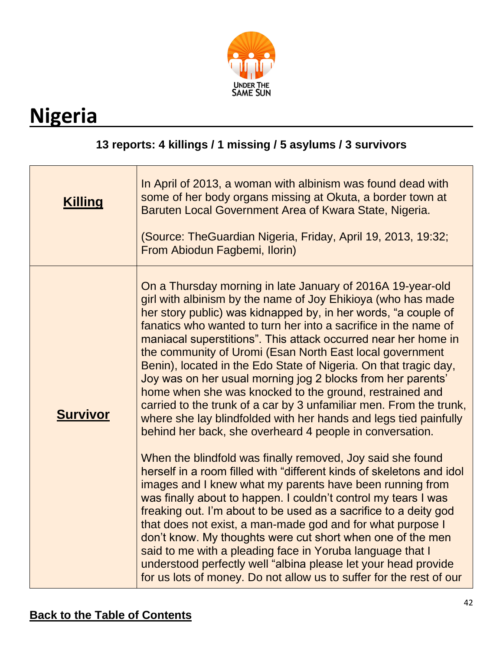

# <span id="page-41-0"></span>**Nigeria**

#### **13 reports: 4 killings / 1 missing / 5 asylums / 3 survivors**

| <b>Killing</b>  | In April of 2013, a woman with albinism was found dead with<br>some of her body organs missing at Okuta, a border town at<br>Baruten Local Government Area of Kwara State, Nigeria.<br>(Source: TheGuardian Nigeria, Friday, April 19, 2013, 19:32;<br>From Abiodun Fagbemi, Ilorin)                                                                                                                                                                                                                                                                                                                                                                                                                                                                                                                                                                                                                                                                                                                                                                                                                                                                                                                                                                                                                                                                                                                                                                                        |
|-----------------|-----------------------------------------------------------------------------------------------------------------------------------------------------------------------------------------------------------------------------------------------------------------------------------------------------------------------------------------------------------------------------------------------------------------------------------------------------------------------------------------------------------------------------------------------------------------------------------------------------------------------------------------------------------------------------------------------------------------------------------------------------------------------------------------------------------------------------------------------------------------------------------------------------------------------------------------------------------------------------------------------------------------------------------------------------------------------------------------------------------------------------------------------------------------------------------------------------------------------------------------------------------------------------------------------------------------------------------------------------------------------------------------------------------------------------------------------------------------------------|
| <b>Survivor</b> | On a Thursday morning in late January of 2016A 19-year-old<br>girl with albinism by the name of Joy Ehikioya (who has made<br>her story public) was kidnapped by, in her words, "a couple of<br>fanatics who wanted to turn her into a sacrifice in the name of<br>maniacal superstitions". This attack occurred near her home in<br>the community of Uromi (Esan North East local government<br>Benin), located in the Edo State of Nigeria. On that tragic day,<br>Joy was on her usual morning jog 2 blocks from her parents'<br>home when she was knocked to the ground, restrained and<br>carried to the trunk of a car by 3 unfamiliar men. From the trunk,<br>where she lay blindfolded with her hands and legs tied painfully<br>behind her back, she overheard 4 people in conversation.<br>When the blindfold was finally removed, Joy said she found<br>herself in a room filled with "different kinds of skeletons and idol<br>images and I knew what my parents have been running from<br>was finally about to happen. I couldn't control my tears I was<br>freaking out. I'm about to be used as a sacrifice to a deity god<br>that does not exist, a man-made god and for what purpose I<br>don't know. My thoughts were cut short when one of the men<br>said to me with a pleading face in Yoruba language that I<br>understood perfectly well "albina please let your head provide<br>for us lots of money. Do not allow us to suffer for the rest of our |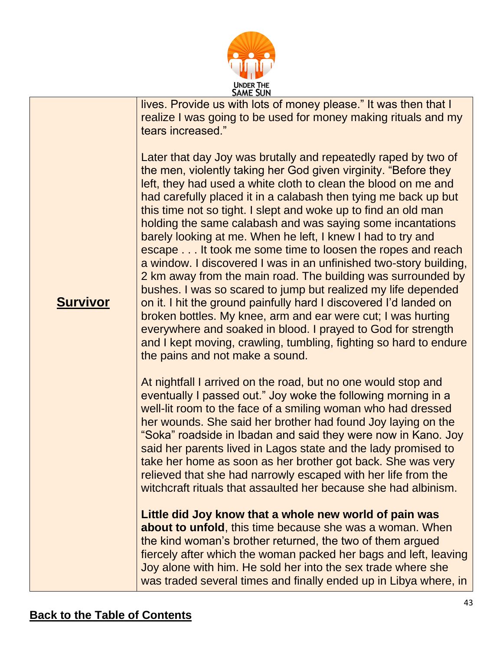

lives. Provide us with lots of money please." It was then that I realize I was going to be used for money making rituals and my tears increased."

Later that day Joy was brutally and repeatedly raped by two of the men, violently taking her God given virginity. "Before they left, they had used a white cloth to clean the blood on me and had carefully placed it in a calabash then tying me back up but this time not so tight. I slept and woke up to find an old man holding the same calabash and was saying some incantations barely looking at me. When he left, I knew I had to try and escape . . . It took me some time to loosen the ropes and reach a window. I discovered I was in an unfinished two-story building, 2 km away from the main road. The building was surrounded by bushes. I was so scared to jump but realized my life depended on it. I hit the ground painfully hard I discovered I'd landed on broken bottles. My knee, arm and ear were cut; I was hurting everywhere and soaked in blood. I prayed to God for strength and I kept moving, crawling, tumbling, fighting so hard to endure the pains and not make a sound.

At nightfall I arrived on the road, but no one would stop and eventually I passed out." Joy woke the following morning in a well-lit room to the face of a smiling woman who had dressed her wounds. She said her brother had found Joy laying on the "Soka" roadside in Ibadan and said they were now in Kano. Joy said her parents lived in Lagos state and the lady promised to take her home as soon as her brother got back. She was very relieved that she had narrowly escaped with her life from the witchcraft rituals that assaulted her because she had albinism.

**Little did Joy know that a whole new world of pain was about to unfold**, this time because she was a woman. When the kind woman's brother returned, the two of them argued fiercely after which the woman packed her bags and left, leaving Joy alone with him. He sold her into the sex trade where she was traded several times and finally ended up in Libya where, in

#### **Survivor**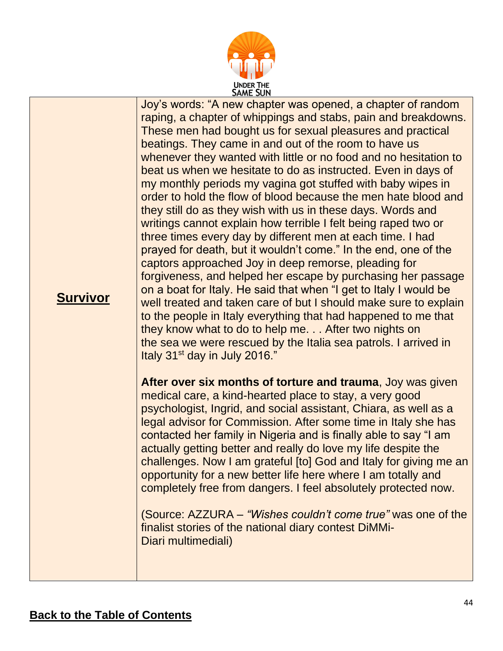

**Survivor** Joy's words: "A new chapter was opened, a chapter of random raping, a chapter of whippings and stabs, pain and breakdowns. These men had bought us for sexual pleasures and practical beatings. They came in and out of the room to have us whenever they wanted with little or no food and no hesitation to beat us when we hesitate to do as instructed. Even in days of my monthly periods my vagina got stuffed with baby wipes in order to hold the flow of blood because the men hate blood and they still do as they wish with us in these days. Words and writings cannot explain how terrible I felt being raped two or three times every day by different men at each time. I had prayed for death, but it wouldn't come." In the end, one of the captors approached Joy in deep remorse, pleading for forgiveness, and helped her escape by purchasing her passage on a boat for Italy. He said that when "I get to Italy I would be well treated and taken care of but I should make sure to explain to the people in Italy everything that had happened to me that they know what to do to help me. . . After two nights on the sea we were rescued by the Italia sea patrols. I arrived in Italy 31<sup>st</sup> day in July 2016." **After over six months of torture and trauma**, Joy was given medical care, a kind-hearted place to stay, a very good psychologist, Ingrid, and social assistant, Chiara, as well as a legal advisor for Commission. After some time in Italy she has contacted her family in Nigeria and is finally able to say "I am actually getting better and really do love my life despite the challenges. Now I am grateful [to] God and Italy for giving me an opportunity for a new better life here where I am totally and completely free from dangers. I feel absolutely protected now.

> (Source: AZZURA – *"Wishes couldn't come true"* was one of the finalist stories of the national diary contest DiMMi-Diari multimediali)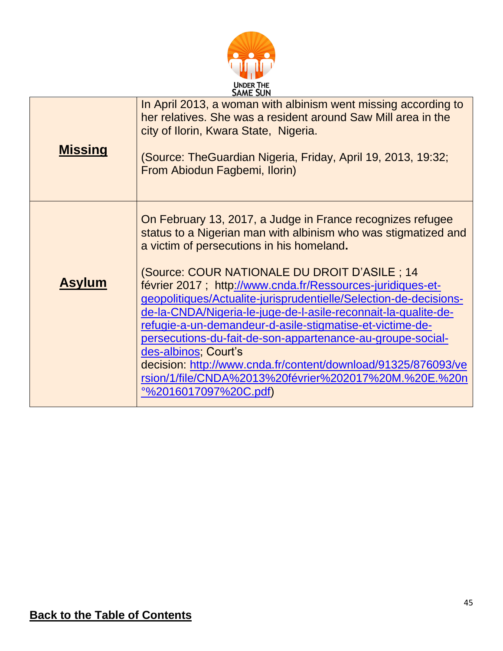

| <b>Missing</b> | In April 2013, a woman with albinism went missing according to<br>her relatives. She was a resident around Saw Mill area in the<br>city of Ilorin, Kwara State, Nigeria.<br>(Source: TheGuardian Nigeria, Friday, April 19, 2013, 19:32;<br>From Abiodun Fagbemi, Ilorin)                                                                                                                                                                                                                                                                               |
|----------------|---------------------------------------------------------------------------------------------------------------------------------------------------------------------------------------------------------------------------------------------------------------------------------------------------------------------------------------------------------------------------------------------------------------------------------------------------------------------------------------------------------------------------------------------------------|
|                | On February 13, 2017, a Judge in France recognizes refugee<br>status to a Nigerian man with albinism who was stigmatized and<br>a victim of persecutions in his homeland.                                                                                                                                                                                                                                                                                                                                                                               |
| <b>Asylum</b>  | (Source: COUR NATIONALE DU DROIT D'ASILE ; 14<br>février 2017; http://www.cnda.fr/Ressources-juridiques-et-<br>geopolitiques/Actualite-jurisprudentielle/Selection-de-decisions-<br>de-la-CNDA/Nigeria-le-juge-de-l-asile-reconnait-la-qualite-de-<br>refugie-a-un-demandeur-d-asile-stigmatise-et-victime-de-<br>persecutions-du-fait-de-son-appartenance-au-groupe-social-<br>des-albinos; Court's<br>decision: http://www.cnda.fr/content/download/91325/876093/ve<br>rsion/1/file/CNDA%2013%20février%202017%20M.%20E.%20n<br>°%2016017097%20C.pdf) |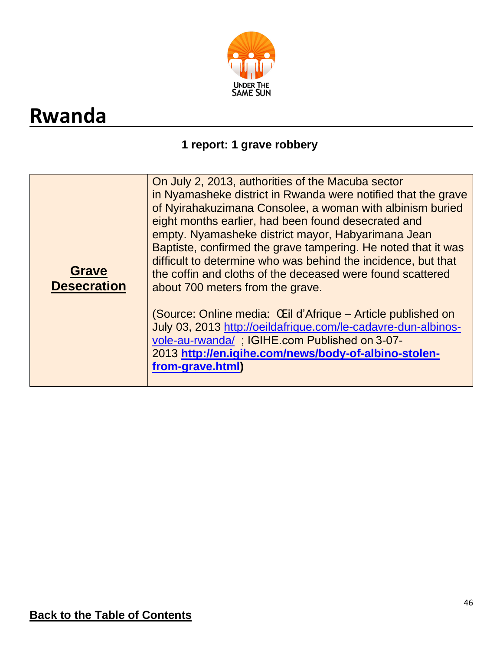

## <span id="page-45-0"></span>**Rwanda**

#### **1 report: 1 grave robbery**

| On July 2, 2013, authorities of the Macuba sector<br>in Nyamasheke district in Rwanda were notified that the grave<br>of Nyirahakuzimana Consolee, a woman with albinism buried<br>eight months earlier, had been found desecrated and<br>empty. Nyamasheke district mayor, Habyarimana Jean<br>Baptiste, confirmed the grave tampering. He noted that it was<br>difficult to determine who was behind the incidence, but that<br><b>Grave</b><br>the coffin and cloths of the deceased were found scattered<br><b>Desecration</b><br>about 700 meters from the grave.<br>(Source: Online media: Œil d'Afrique – Article published on<br>July 03, 2013 http://oeildafrique.com/le-cadavre-dun-albinos-<br>vole-au-rwanda/; IGIHE.com Published on 3-07-<br>2013 http://en.igihe.com/news/body-of-albino-stolen-<br>from-grave.html) |
|-------------------------------------------------------------------------------------------------------------------------------------------------------------------------------------------------------------------------------------------------------------------------------------------------------------------------------------------------------------------------------------------------------------------------------------------------------------------------------------------------------------------------------------------------------------------------------------------------------------------------------------------------------------------------------------------------------------------------------------------------------------------------------------------------------------------------------------|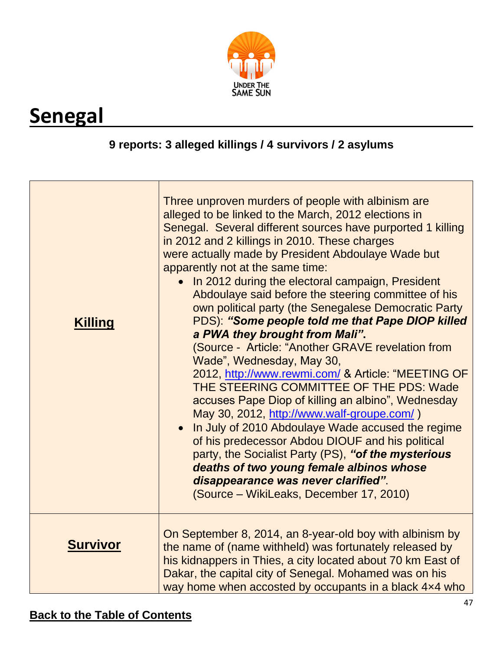

# <span id="page-46-0"></span>**Senegal**

#### **9 reports: 3 alleged killings / 4 survivors / 2 asylums**

| <b>Killing</b>  | Three unproven murders of people with albinism are<br>alleged to be linked to the March, 2012 elections in<br>Senegal. Several different sources have purported 1 killing<br>in 2012 and 2 killings in 2010. These charges<br>were actually made by President Abdoulaye Wade but<br>apparently not at the same time:<br>In 2012 during the electoral campaign, President<br>Abdoulaye said before the steering committee of his<br>own political party (the Senegalese Democratic Party<br>PDS): "Some people told me that Pape DIOP killed<br>a PWA they brought from Mali".<br>(Source - Article: "Another GRAVE revelation from<br>Wade", Wednesday, May 30,<br>2012, http://www.rewmi.com/ & Article: "MEETING OF<br>THE STEERING COMMITTEE OF THE PDS: Wade<br>accuses Pape Diop of killing an albino", Wednesday<br>May 30, 2012, http://www.walf-groupe.com/)<br>In July of 2010 Abdoulaye Wade accused the regime<br>of his predecessor Abdou DIOUF and his political<br>party, the Socialist Party (PS), "of the mysterious<br>deaths of two young female albinos whose<br>disappearance was never clarified".<br>(Source – WikiLeaks, December 17, 2010) |
|-----------------|--------------------------------------------------------------------------------------------------------------------------------------------------------------------------------------------------------------------------------------------------------------------------------------------------------------------------------------------------------------------------------------------------------------------------------------------------------------------------------------------------------------------------------------------------------------------------------------------------------------------------------------------------------------------------------------------------------------------------------------------------------------------------------------------------------------------------------------------------------------------------------------------------------------------------------------------------------------------------------------------------------------------------------------------------------------------------------------------------------------------------------------------------------------------|
| <b>Survivor</b> | On September 8, 2014, an 8-year-old boy with albinism by<br>the name of (name withheld) was fortunately released by<br>his kidnappers in Thies, a city located about 70 km East of<br>Dakar, the capital city of Senegal. Mohamed was on his<br>way home when accosted by occupants in a black 4x4 who                                                                                                                                                                                                                                                                                                                                                                                                                                                                                                                                                                                                                                                                                                                                                                                                                                                             |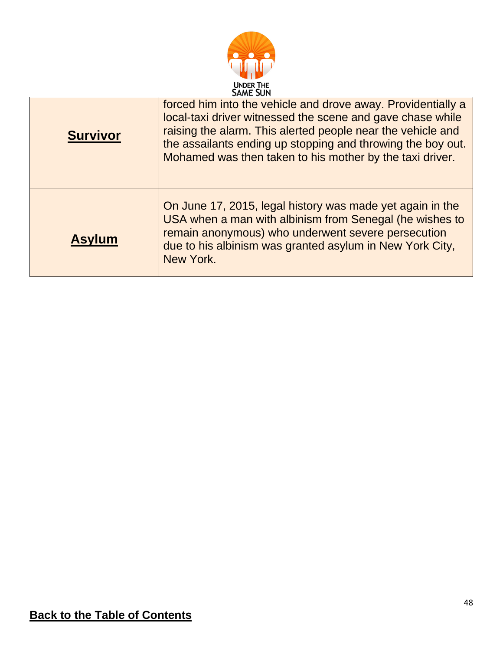

| <b>Survivor</b> | forced him into the vehicle and drove away. Providentially a<br>local-taxi driver witnessed the scene and gave chase while<br>raising the alarm. This alerted people near the vehicle and<br>the assailants ending up stopping and throwing the boy out.<br>Mohamed was then taken to his mother by the taxi driver. |
|-----------------|----------------------------------------------------------------------------------------------------------------------------------------------------------------------------------------------------------------------------------------------------------------------------------------------------------------------|
| <b>Asylum</b>   | On June 17, 2015, legal history was made yet again in the<br>USA when a man with albinism from Senegal (he wishes to<br>remain anonymous) who underwent severe persecution<br>due to his albinism was granted asylum in New York City,<br>New York.                                                                  |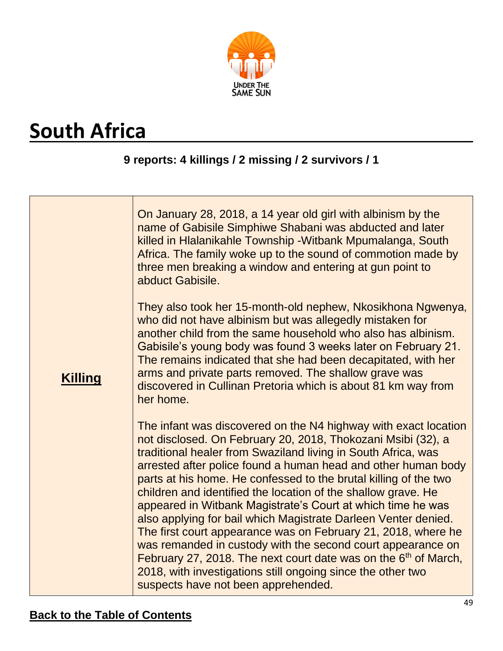

# <span id="page-48-0"></span>**South Africa**

#### **9 reports: 4 killings / 2 missing / 2 survivors / 1**

|                | On January 28, 2018, a 14 year old girl with albinism by the<br>name of Gabisile Simphiwe Shabani was abducted and later<br>killed in Hlalanikahle Township - Witbank Mpumalanga, South<br>Africa. The family woke up to the sound of commotion made by<br>three men breaking a window and entering at gun point to<br>abduct Gabisile.<br>They also took her 15-month-old nephew, Nkosikhona Ngwenya,<br>who did not have albinism but was allegedly mistaken for<br>another child from the same household who also has albinism.                                                                                                                                                                                                                                                                                                                           |
|----------------|--------------------------------------------------------------------------------------------------------------------------------------------------------------------------------------------------------------------------------------------------------------------------------------------------------------------------------------------------------------------------------------------------------------------------------------------------------------------------------------------------------------------------------------------------------------------------------------------------------------------------------------------------------------------------------------------------------------------------------------------------------------------------------------------------------------------------------------------------------------|
| <b>Killing</b> | Gabisile's young body was found 3 weeks later on February 21.<br>The remains indicated that she had been decapitated, with her<br>arms and private parts removed. The shallow grave was<br>discovered in Cullinan Pretoria which is about 81 km way from<br>her home.                                                                                                                                                                                                                                                                                                                                                                                                                                                                                                                                                                                        |
|                | The infant was discovered on the N4 highway with exact location<br>not disclosed. On February 20, 2018, Thokozani Msibi (32), a<br>traditional healer from Swaziland living in South Africa, was<br>arrested after police found a human head and other human body<br>parts at his home. He confessed to the brutal killing of the two<br>children and identified the location of the shallow grave. He<br>appeared in Witbank Magistrate's Court at which time he was<br>also applying for bail which Magistrate Darleen Venter denied.<br>The first court appearance was on February 21, 2018, where he<br>was remanded in custody with the second court appearance on<br>February 27, 2018. The next court date was on the 6 <sup>th</sup> of March,<br>2018, with investigations still ongoing since the other two<br>suspects have not been apprehended. |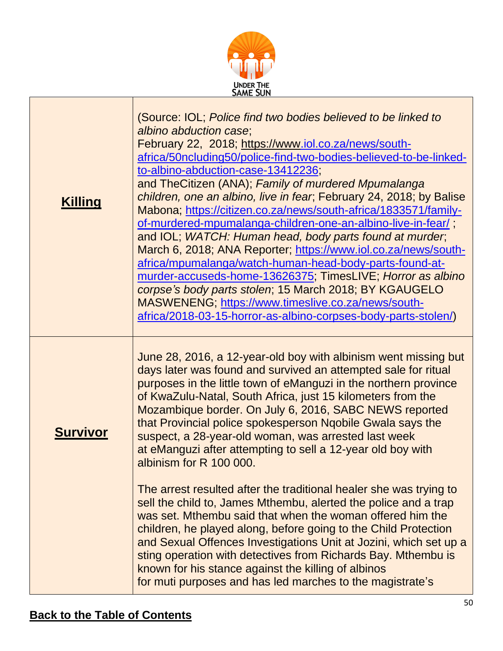| africa/50ncluding50/police-find-two-bodies-believed-to-be-linked-<br>children, one an albino, live in fear, February 24, 2018; by Balise<br>Mabona; https://citizen.co.za/news/south-africa/1833571/family-<br>of-murdered-mpumalanga-children-one-an-albino-live-in-fear/;<br>and IOL; WATCH: Human head, body parts found at murder,<br>March 6, 2018; ANA Reporter; https://www.iol.co.za/news/south-<br>africa/mpumalanga/watch-human-head-body-parts-found-at-<br>murder-accuseds-home-13626375; TimesLIVE; Horror as albino<br>africa/2018-03-15-horror-as-albino-corpses-body-parts-stolen/)                                                                            |
|--------------------------------------------------------------------------------------------------------------------------------------------------------------------------------------------------------------------------------------------------------------------------------------------------------------------------------------------------------------------------------------------------------------------------------------------------------------------------------------------------------------------------------------------------------------------------------------------------------------------------------------------------------------------------------|
| June 28, 2016, a 12-year-old boy with albinism went missing but<br>days later was found and survived an attempted sale for ritual<br>purposes in the little town of eManguzi in the northern province<br>Mozambique border. On July 6, 2016, SABC NEWS reported<br>The arrest resulted after the traditional healer she was trying to<br>sell the child to, James Mthembu, alerted the police and a trap<br>was set. Mthembu said that when the woman offered him the<br>children, he played along, before going to the Child Protection<br>and Sexual Offences Investigations Unit at Jozini, which set up a<br>sting operation with detectives from Richards Bay. Mthembu is |
| corpse's body parts stolen; 15 March 2018; BY KGAUGELO                                                                                                                                                                                                                                                                                                                                                                                                                                                                                                                                                                                                                         |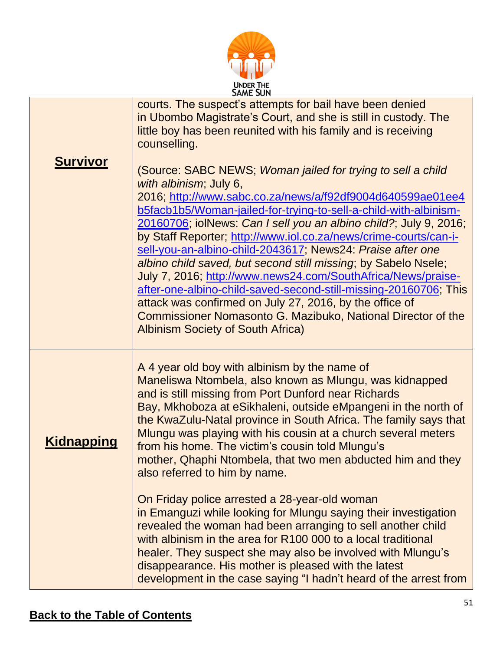

|                   | <b>SAME SUN</b>                                                                                                                                                                                                                                                                                                                                                                                                                                                                                                                                                                                                                                                                                                                                                                                             |
|-------------------|-------------------------------------------------------------------------------------------------------------------------------------------------------------------------------------------------------------------------------------------------------------------------------------------------------------------------------------------------------------------------------------------------------------------------------------------------------------------------------------------------------------------------------------------------------------------------------------------------------------------------------------------------------------------------------------------------------------------------------------------------------------------------------------------------------------|
|                   | courts. The suspect's attempts for bail have been denied<br>in Ubombo Magistrate's Court, and she is still in custody. The<br>little boy has been reunited with his family and is receiving<br>counselling.                                                                                                                                                                                                                                                                                                                                                                                                                                                                                                                                                                                                 |
| <b>Survivor</b>   | (Source: SABC NEWS; Woman jailed for trying to sell a child<br>with albinism; July 6,<br>2016; http://www.sabc.co.za/news/a/f92df9004d640599ae01ee4<br>b5facb1b5/Woman-jailed-for-trying-to-sell-a-child-with-albinism-<br>20160706; iolNews: Can I sell you an albino child?; July 9, 2016;<br>by Staff Reporter; http://www.iol.co.za/news/crime-courts/can-i-<br>sell-you-an-albino-child-2043617; News24: Praise after one<br>albino child saved, but second still missing; by Sabelo Nsele;<br>July 7, 2016; http://www.news24.com/SouthAfrica/News/praise-<br>after-one-albino-child-saved-second-still-missing-20160706, This<br>attack was confirmed on July 27, 2016, by the office of<br>Commissioner Nomasonto G. Mazibuko, National Director of the<br><b>Albinism Society of South Africa)</b> |
| <u>Kidnapping</u> | A 4 year old boy with albinism by the name of<br>Maneliswa Ntombela, also known as Mlungu, was kidnapped<br>and is still missing from Port Dunford near Richards<br>Bay, Mkhoboza at eSikhaleni, outside eMpangeni in the north of<br>the KwaZulu-Natal province in South Africa. The family says that<br>Mlungu was playing with his cousin at a church several meters<br>from his home. The victim's cousin told Mlungu's<br>mother, Qhaphi Ntombela, that two men abducted him and they<br>also referred to him by name.                                                                                                                                                                                                                                                                                 |
|                   | On Friday police arrested a 28-year-old woman<br>in Emanguzi while looking for Mlungu saying their investigation<br>revealed the woman had been arranging to sell another child<br>with albinism in the area for R100 000 to a local traditional<br>healer. They suspect she may also be involved with Mlungu's<br>disappearance. His mother is pleased with the latest<br>development in the case saying "I hadn't heard of the arrest from                                                                                                                                                                                                                                                                                                                                                                |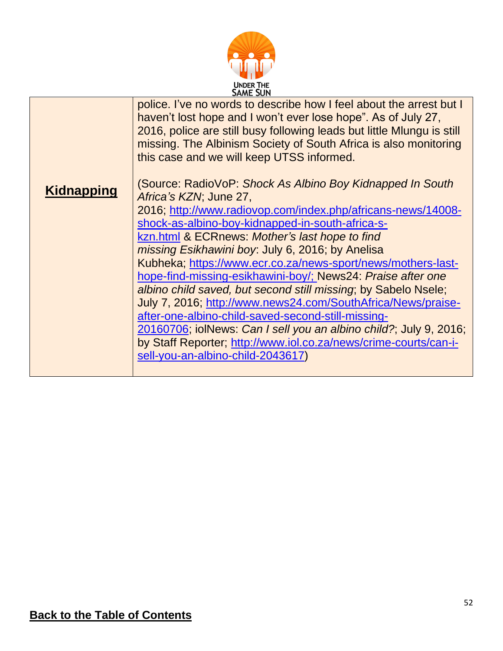

|                   | <b>SAME SUN</b>                                                                                                                                                                                                                                                                                                                                                                                                                                                                                                                                                                                                                                                                                                                                                                                                    |
|-------------------|--------------------------------------------------------------------------------------------------------------------------------------------------------------------------------------------------------------------------------------------------------------------------------------------------------------------------------------------------------------------------------------------------------------------------------------------------------------------------------------------------------------------------------------------------------------------------------------------------------------------------------------------------------------------------------------------------------------------------------------------------------------------------------------------------------------------|
|                   | police. I've no words to describe how I feel about the arrest but I<br>haven't lost hope and I won't ever lose hope". As of July 27,<br>2016, police are still busy following leads but little Mlungu is still<br>missing. The Albinism Society of South Africa is also monitoring<br>this case and we will keep UTSS informed.                                                                                                                                                                                                                                                                                                                                                                                                                                                                                    |
| <b>Kidnapping</b> | (Source: RadioVoP: Shock As Albino Boy Kidnapped In South<br>Africa's KZN; June 27,<br>2016; http://www.radiovop.com/index.php/africans-news/14008-<br>shock-as-albino-boy-kidnapped-in-south-africa-s-<br>kzn.html & ECRnews: Mother's last hope to find<br>missing Esikhawini boy: July 6, 2016; by Anelisa<br>Kubheka; https://www.ecr.co.za/news-sport/news/mothers-last-<br>hope-find-missing-esikhawini-boy/; News24: Praise after one<br>albino child saved, but second still missing; by Sabelo Nsele;<br>July 7, 2016; http://www.news24.com/SouthAfrica/News/praise-<br>after-one-albino-child-saved-second-still-missing-<br>20160706; iolNews: Can I sell you an albino child?; July 9, 2016;<br>by Staff Reporter; http://www.iol.co.za/news/crime-courts/can-i-<br>sell-you-an-albino-child-2043617) |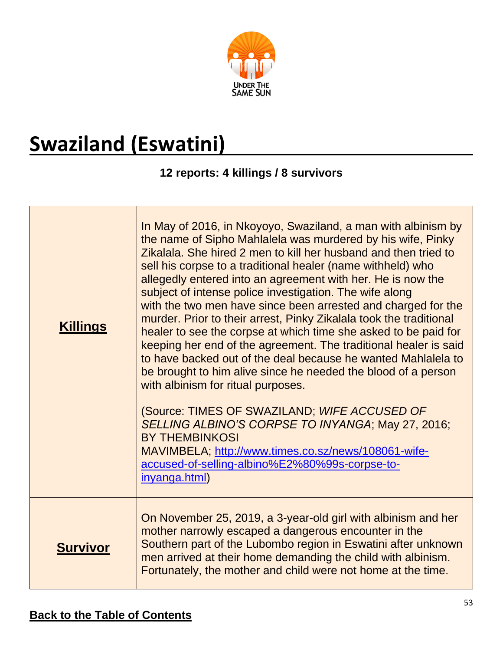

# <span id="page-52-0"></span>**Swaziland (Eswatini)**

#### **12 reports: 4 killings / 8 survivors**

| <b>Killings</b> | In May of 2016, in Nkoyoyo, Swaziland, a man with albinism by<br>the name of Sipho Mahlalela was murdered by his wife, Pinky<br>Zikalala. She hired 2 men to kill her husband and then tried to<br>sell his corpse to a traditional healer (name withheld) who<br>allegedly entered into an agreement with her. He is now the<br>subject of intense police investigation. The wife along<br>with the two men have since been arrested and charged for the<br>murder. Prior to their arrest, Pinky Zikalala took the traditional<br>healer to see the corpse at which time she asked to be paid for<br>keeping her end of the agreement. The traditional healer is said<br>to have backed out of the deal because he wanted Mahlalela to<br>be brought to him alive since he needed the blood of a person<br>with albinism for ritual purposes.<br>(Source: TIMES OF SWAZILAND; WIFE ACCUSED OF<br>SELLING ALBINO'S CORPSE TO INYANGA; May 27, 2016;<br><b>BY THEMBINKOSI</b><br>MAVIMBELA; http://www.times.co.sz/news/108061-wife-<br>accused-of-selling-albino%E2%80%99s-corpse-to-<br>inyanga.html) |
|-----------------|--------------------------------------------------------------------------------------------------------------------------------------------------------------------------------------------------------------------------------------------------------------------------------------------------------------------------------------------------------------------------------------------------------------------------------------------------------------------------------------------------------------------------------------------------------------------------------------------------------------------------------------------------------------------------------------------------------------------------------------------------------------------------------------------------------------------------------------------------------------------------------------------------------------------------------------------------------------------------------------------------------------------------------------------------------------------------------------------------------|
|                 |                                                                                                                                                                                                                                                                                                                                                                                                                                                                                                                                                                                                                                                                                                                                                                                                                                                                                                                                                                                                                                                                                                        |
| <b>Survivor</b> | On November 25, 2019, a 3-year-old girl with albinism and her<br>mother narrowly escaped a dangerous encounter in the<br>Southern part of the Lubombo region in Eswatini after unknown<br>men arrived at their home demanding the child with albinism.<br>Fortunately, the mother and child were not home at the time.                                                                                                                                                                                                                                                                                                                                                                                                                                                                                                                                                                                                                                                                                                                                                                                 |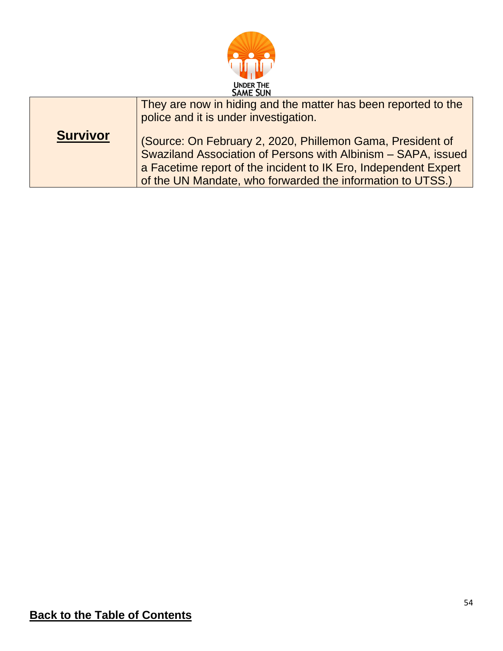

|                 | They are now in hiding and the matter has been reported to the<br>police and it is under investigation.                                                                                                                                                      |
|-----------------|--------------------------------------------------------------------------------------------------------------------------------------------------------------------------------------------------------------------------------------------------------------|
| <b>Survivor</b> | (Source: On February 2, 2020, Phillemon Gama, President of<br>Swaziland Association of Persons with Albinism - SAPA, issued<br>a Facetime report of the incident to IK Ero, Independent Expert<br>of the UN Mandate, who forwarded the information to UTSS.) |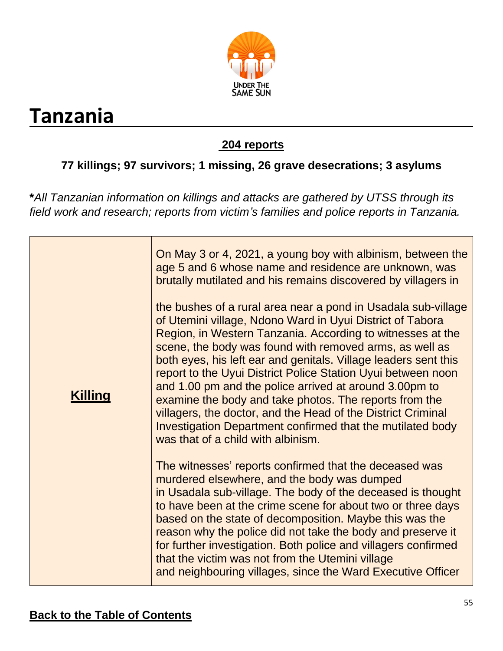

## <span id="page-54-0"></span>**Tanzania**

#### **204 reports**

### **77 killings; 97 survivors; 1 missing, 26 grave desecrations; 3 asylums**

**\****All Tanzanian information on killings and attacks are gathered by UTSS through its field work and research; reports from victim's families and police reports in Tanzania.*

| <b>Killing</b> | On May 3 or 4, 2021, a young boy with albinism, between the<br>age 5 and 6 whose name and residence are unknown, was<br>brutally mutilated and his remains discovered by villagers in<br>the bushes of a rural area near a pond in Usadala sub-village<br>of Utemini village, Ndono Ward in Uyui District of Tabora<br>Region, in Western Tanzania. According to witnesses at the<br>scene, the body was found with removed arms, as well as<br>both eyes, his left ear and genitals. Village leaders sent this<br>report to the Uyui District Police Station Uyui between noon<br>and 1.00 pm and the police arrived at around 3.00pm to<br>examine the body and take photos. The reports from the<br>villagers, the doctor, and the Head of the District Criminal<br>Investigation Department confirmed that the mutilated body<br>was that of a child with albinism. |
|----------------|-------------------------------------------------------------------------------------------------------------------------------------------------------------------------------------------------------------------------------------------------------------------------------------------------------------------------------------------------------------------------------------------------------------------------------------------------------------------------------------------------------------------------------------------------------------------------------------------------------------------------------------------------------------------------------------------------------------------------------------------------------------------------------------------------------------------------------------------------------------------------|
|                | The witnesses' reports confirmed that the deceased was<br>murdered elsewhere, and the body was dumped<br>in Usadala sub-village. The body of the deceased is thought<br>to have been at the crime scene for about two or three days<br>based on the state of decomposition. Maybe this was the<br>reason why the police did not take the body and preserve it<br>for further investigation. Both police and villagers confirmed<br>that the victim was not from the Utemini village<br>and neighbouring villages, since the Ward Executive Officer                                                                                                                                                                                                                                                                                                                      |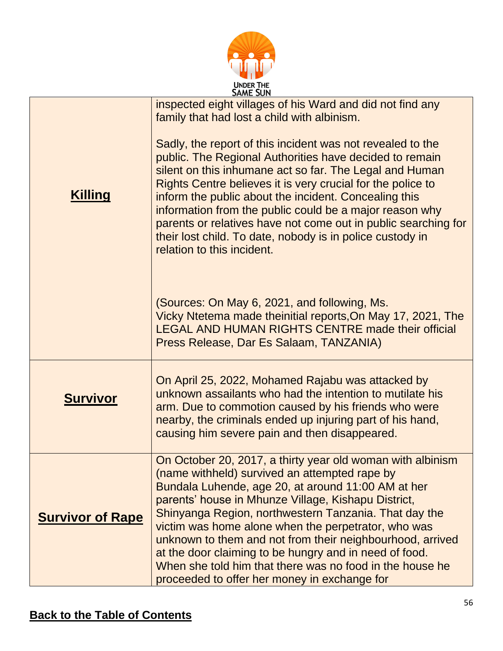

| <b>SAME SUN</b>         |                                                                                                                                                                                                                                                                                                                                                                                                                                                                                                                                  |
|-------------------------|----------------------------------------------------------------------------------------------------------------------------------------------------------------------------------------------------------------------------------------------------------------------------------------------------------------------------------------------------------------------------------------------------------------------------------------------------------------------------------------------------------------------------------|
|                         | inspected eight villages of his Ward and did not find any<br>family that had lost a child with albinism.                                                                                                                                                                                                                                                                                                                                                                                                                         |
| <u>Killing</u>          | Sadly, the report of this incident was not revealed to the<br>public. The Regional Authorities have decided to remain<br>silent on this inhumane act so far. The Legal and Human<br>Rights Centre believes it is very crucial for the police to<br>inform the public about the incident. Concealing this<br>information from the public could be a major reason why<br>parents or relatives have not come out in public searching for<br>their lost child. To date, nobody is in police custody in<br>relation to this incident. |
|                         | (Sources: On May 6, 2021, and following, Ms.<br>Vicky Ntetema made theinitial reports, On May 17, 2021, The<br><b>LEGAL AND HUMAN RIGHTS CENTRE made their official</b><br>Press Release, Dar Es Salaam, TANZANIA)                                                                                                                                                                                                                                                                                                               |
| <u>Survivor</u>         | On April 25, 2022, Mohamed Rajabu was attacked by<br>unknown assailants who had the intention to mutilate his<br>arm. Due to commotion caused by his friends who were<br>nearby, the criminals ended up injuring part of his hand,<br>causing him severe pain and then disappeared.                                                                                                                                                                                                                                              |
| <b>Survivor of Rape</b> | On October 20, 2017, a thirty year old woman with albinism<br>(name withheld) survived an attempted rape by<br>Bundala Luhende, age 20, at around 11:00 AM at her<br>parents' house in Mhunze Village, Kishapu District,<br>Shinyanga Region, northwestern Tanzania. That day the<br>victim was home alone when the perpetrator, who was<br>unknown to them and not from their neighbourhood, arrived<br>at the door claiming to be hungry and in need of food.<br>When she told him that there was no food in the house he      |
|                         | proceeded to offer her money in exchange for                                                                                                                                                                                                                                                                                                                                                                                                                                                                                     |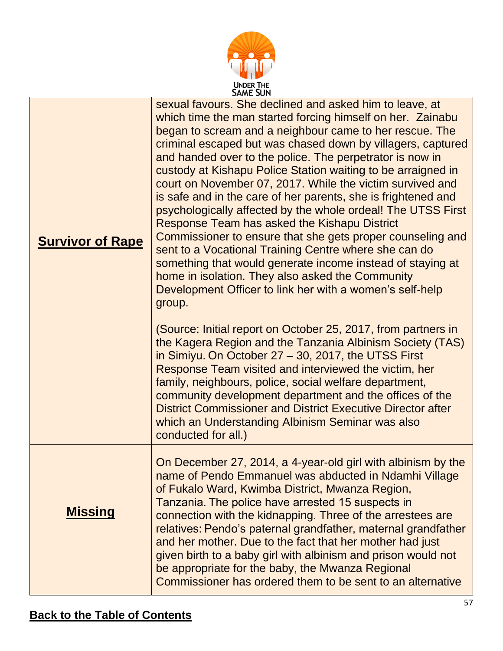

| <b>Survivor of Rape</b> | sexual favours. She declined and asked him to leave, at<br>which time the man started forcing himself on her. Zainabu<br>began to scream and a neighbour came to her rescue. The<br>criminal escaped but was chased down by villagers, captured<br>and handed over to the police. The perpetrator is now in<br>custody at Kishapu Police Station waiting to be arraigned in<br>court on November 07, 2017. While the victim survived and<br>is safe and in the care of her parents, she is frightened and<br>psychologically affected by the whole ordeal! The UTSS First<br>Response Team has asked the Kishapu District<br>Commissioner to ensure that she gets proper counseling and<br>sent to a Vocational Training Centre where she can do<br>something that would generate income instead of staying at<br>home in isolation. They also asked the Community<br>Development Officer to link her with a women's self-help<br>group.<br>(Source: Initial report on October 25, 2017, from partners in<br>the Kagera Region and the Tanzania Albinism Society (TAS)<br>in Simiyu. On October 27 – 30, 2017, the UTSS First<br>Response Team visited and interviewed the victim, her<br>family, neighbours, police, social welfare department,<br>community development department and the offices of the<br><b>District Commissioner and District Executive Director after</b><br>which an Understanding Albinism Seminar was also |
|-------------------------|---------------------------------------------------------------------------------------------------------------------------------------------------------------------------------------------------------------------------------------------------------------------------------------------------------------------------------------------------------------------------------------------------------------------------------------------------------------------------------------------------------------------------------------------------------------------------------------------------------------------------------------------------------------------------------------------------------------------------------------------------------------------------------------------------------------------------------------------------------------------------------------------------------------------------------------------------------------------------------------------------------------------------------------------------------------------------------------------------------------------------------------------------------------------------------------------------------------------------------------------------------------------------------------------------------------------------------------------------------------------------------------------------------------------------------------|
|                         | conducted for all.)                                                                                                                                                                                                                                                                                                                                                                                                                                                                                                                                                                                                                                                                                                                                                                                                                                                                                                                                                                                                                                                                                                                                                                                                                                                                                                                                                                                                                   |
| <b>Missing</b>          | On December 27, 2014, a 4-year-old girl with albinism by the<br>name of Pendo Emmanuel was abducted in Ndamhi Village<br>of Fukalo Ward, Kwimba District, Mwanza Region,<br>Tanzania. The police have arrested 15 suspects in<br>connection with the kidnapping. Three of the arrestees are<br>relatives: Pendo's paternal grandfather, maternal grandfather<br>and her mother. Due to the fact that her mother had just<br>given birth to a baby girl with albinism and prison would not<br>be appropriate for the baby, the Mwanza Regional<br>Commissioner has ordered them to be sent to an alternative                                                                                                                                                                                                                                                                                                                                                                                                                                                                                                                                                                                                                                                                                                                                                                                                                           |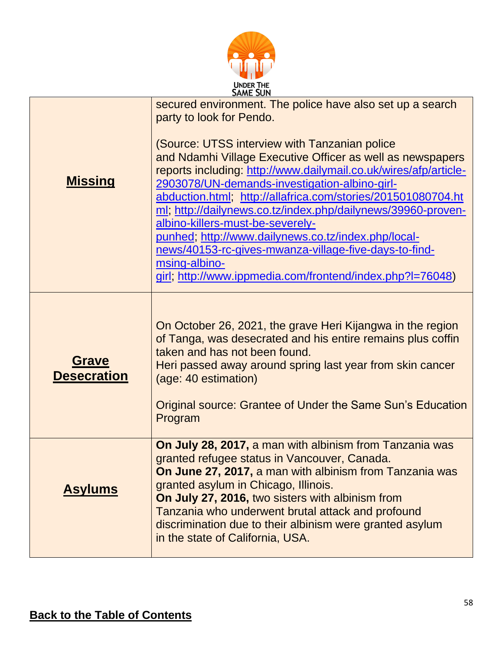

| <b>SAME SUN</b>                    |                                                                                                                                                                                                                                                                                                                                                                                                                                                                                                                                                                                                                                |
|------------------------------------|--------------------------------------------------------------------------------------------------------------------------------------------------------------------------------------------------------------------------------------------------------------------------------------------------------------------------------------------------------------------------------------------------------------------------------------------------------------------------------------------------------------------------------------------------------------------------------------------------------------------------------|
| <b>Missing</b>                     | secured environment. The police have also set up a search<br>party to look for Pendo.<br>(Source: UTSS interview with Tanzanian police<br>and Ndamhi Village Executive Officer as well as newspapers<br>reports including: http://www.dailymail.co.uk/wires/afp/article-<br>2903078/UN-demands-investigation-albino-girl-<br>abduction.html; http://allafrica.com/stories/201501080704.ht<br>ml; http://dailynews.co.tz/index.php/dailynews/39960-proven-<br>albino-killers-must-be-severely-<br>punhed; http://www.dailynews.co.tz/index.php/local-<br>news/40153-rc-gives-mwanza-village-five-days-to-find-<br>msing-albino- |
|                                    | girl; http://www.ippmedia.com/frontend/index.php?I=76048)                                                                                                                                                                                                                                                                                                                                                                                                                                                                                                                                                                      |
| <b>Grave</b><br><b>Desecration</b> | On October 26, 2021, the grave Heri Kijangwa in the region<br>of Tanga, was desecrated and his entire remains plus coffin<br>taken and has not been found.<br>Heri passed away around spring last year from skin cancer<br>(age: 40 estimation)<br>Original source: Grantee of Under the Same Sun's Education<br>Program                                                                                                                                                                                                                                                                                                       |
| <b>Asylums</b>                     | On July 28, 2017, a man with albinism from Tanzania was<br>granted refugee status in Vancouver, Canada.<br>On June 27, 2017, a man with albinism from Tanzania was<br>granted asylum in Chicago, Illinois.<br>On July 27, 2016, two sisters with albinism from<br>Tanzania who underwent brutal attack and profound<br>discrimination due to their albinism were granted asylum<br>in the state of California, USA.                                                                                                                                                                                                            |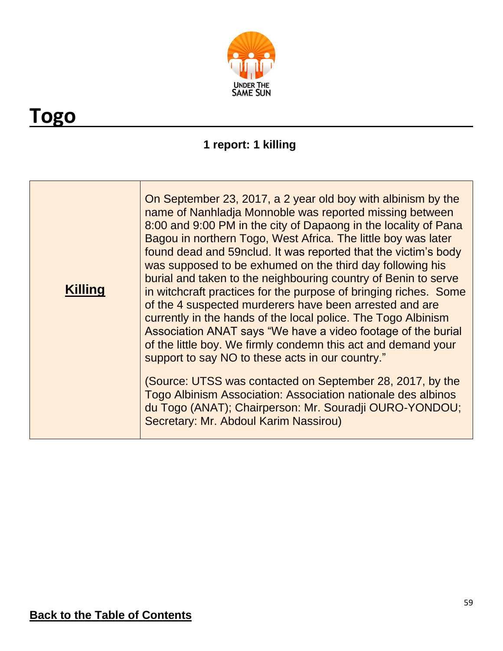

## <span id="page-58-0"></span>**Togo**

### **1 report: 1 killing**

| <b>Killing</b> | On September 23, 2017, a 2 year old boy with albinism by the<br>name of Nanhladja Monnoble was reported missing between<br>8:00 and 9:00 PM in the city of Dapaong in the locality of Pana<br>Bagou in northern Togo, West Africa. The little boy was later<br>found dead and 59 nclud. It was reported that the victim's body<br>was supposed to be exhumed on the third day following his<br>burial and taken to the neighbouring country of Benin to serve<br>in witchcraft practices for the purpose of bringing riches. Some<br>of the 4 suspected murderers have been arrested and are<br>currently in the hands of the local police. The Togo Albinism<br>Association ANAT says "We have a video footage of the burial<br>of the little boy. We firmly condemn this act and demand your<br>support to say NO to these acts in our country."<br>(Source: UTSS was contacted on September 28, 2017, by the<br>Togo Albinism Association: Association nationale des albinos<br>du Togo (ANAT); Chairperson: Mr. Souradji OURO-YONDOU;<br>Secretary: Mr. Abdoul Karim Nassirou) |
|----------------|------------------------------------------------------------------------------------------------------------------------------------------------------------------------------------------------------------------------------------------------------------------------------------------------------------------------------------------------------------------------------------------------------------------------------------------------------------------------------------------------------------------------------------------------------------------------------------------------------------------------------------------------------------------------------------------------------------------------------------------------------------------------------------------------------------------------------------------------------------------------------------------------------------------------------------------------------------------------------------------------------------------------------------------------------------------------------------|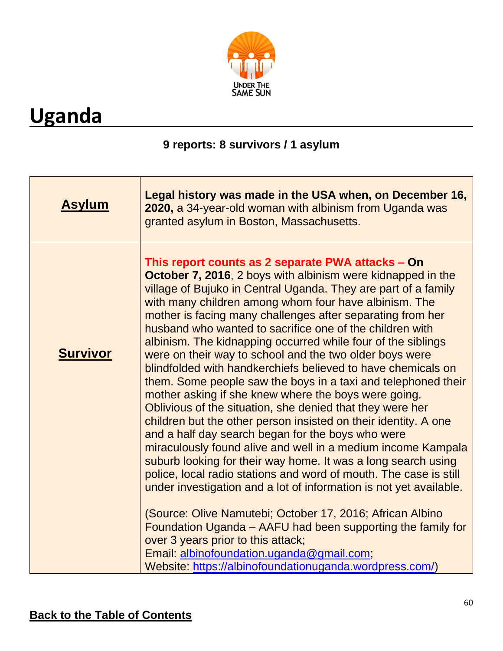

# <span id="page-59-0"></span>**Uganda**

#### **9 reports: 8 survivors / 1 asylum**

| <b>Asylum</b>   | Legal history was made in the USA when, on December 16,<br>2020, a 34-year-old woman with albinism from Uganda was<br>granted asylum in Boston, Massachusetts.                                                                                                                                                                                                                                                                                                                                                                                                                                                                                                                                                                                                                                                                                                                                                                                                                                                                                                                                                                                                                                                          |
|-----------------|-------------------------------------------------------------------------------------------------------------------------------------------------------------------------------------------------------------------------------------------------------------------------------------------------------------------------------------------------------------------------------------------------------------------------------------------------------------------------------------------------------------------------------------------------------------------------------------------------------------------------------------------------------------------------------------------------------------------------------------------------------------------------------------------------------------------------------------------------------------------------------------------------------------------------------------------------------------------------------------------------------------------------------------------------------------------------------------------------------------------------------------------------------------------------------------------------------------------------|
| <b>Survivor</b> | This report counts as 2 separate PWA attacks – On<br>October 7, 2016, 2 boys with albinism were kidnapped in the<br>village of Bujuko in Central Uganda. They are part of a family<br>with many children among whom four have albinism. The<br>mother is facing many challenges after separating from her<br>husband who wanted to sacrifice one of the children with<br>albinism. The kidnapping occurred while four of the siblings<br>were on their way to school and the two older boys were<br>blindfolded with handkerchiefs believed to have chemicals on<br>them. Some people saw the boys in a taxi and telephoned their<br>mother asking if she knew where the boys were going.<br>Oblivious of the situation, she denied that they were her<br>children but the other person insisted on their identity. A one<br>and a half day search began for the boys who were<br>miraculously found alive and well in a medium income Kampala<br>suburb looking for their way home. It was a long search using<br>police, local radio stations and word of mouth. The case is still<br>under investigation and a lot of information is not yet available.<br>(Source: Olive Namutebi; October 17, 2016; African Albino |
|                 | Foundation Uganda – AAFU had been supporting the family for<br>over 3 years prior to this attack;<br>Email: albinofoundation.uganda@gmail.com;<br>Website: https://albinofoundationuganda.wordpress.com/)                                                                                                                                                                                                                                                                                                                                                                                                                                                                                                                                                                                                                                                                                                                                                                                                                                                                                                                                                                                                               |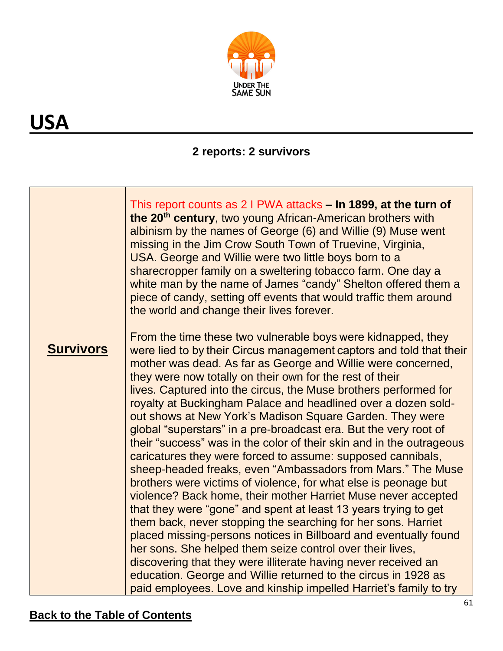

# **USA**

### **2 reports: 2 survivors**

|                  | This report counts as 2 I PWA attacks – In 1899, at the turn of<br>the 20 <sup>th</sup> century, two young African-American brothers with<br>albinism by the names of George (6) and Willie (9) Muse went<br>missing in the Jim Crow South Town of Truevine, Virginia,<br>USA. George and Willie were two little boys born to a<br>sharecropper family on a sweltering tobacco farm. One day a<br>white man by the name of James "candy" Shelton offered them a<br>piece of candy, setting off events that would traffic them around<br>the world and change their lives forever.                                                                                                                                                                                                                                                                                                                                                                                                                                                                                                                                                                                                                                                                                                                                                                            |
|------------------|--------------------------------------------------------------------------------------------------------------------------------------------------------------------------------------------------------------------------------------------------------------------------------------------------------------------------------------------------------------------------------------------------------------------------------------------------------------------------------------------------------------------------------------------------------------------------------------------------------------------------------------------------------------------------------------------------------------------------------------------------------------------------------------------------------------------------------------------------------------------------------------------------------------------------------------------------------------------------------------------------------------------------------------------------------------------------------------------------------------------------------------------------------------------------------------------------------------------------------------------------------------------------------------------------------------------------------------------------------------|
| <b>Survivors</b> | From the time these two vulnerable boys were kidnapped, they<br>were lied to by their Circus management captors and told that their<br>mother was dead. As far as George and Willie were concerned,<br>they were now totally on their own for the rest of their<br>lives. Captured into the circus, the Muse brothers performed for<br>royalty at Buckingham Palace and headlined over a dozen sold-<br>out shows at New York's Madison Square Garden. They were<br>global "superstars" in a pre-broadcast era. But the very root of<br>their "success" was in the color of their skin and in the outrageous<br>caricatures they were forced to assume: supposed cannibals,<br>sheep-headed freaks, even "Ambassadors from Mars." The Muse<br>brothers were victims of violence, for what else is peonage but<br>violence? Back home, their mother Harriet Muse never accepted<br>that they were "gone" and spent at least 13 years trying to get<br>them back, never stopping the searching for her sons. Harriet<br>placed missing-persons notices in Billboard and eventually found<br>her sons. She helped them seize control over their lives,<br>discovering that they were illiterate having never received an<br>education. George and Willie returned to the circus in 1928 as<br>paid employees. Love and kinship impelled Harriet's family to try |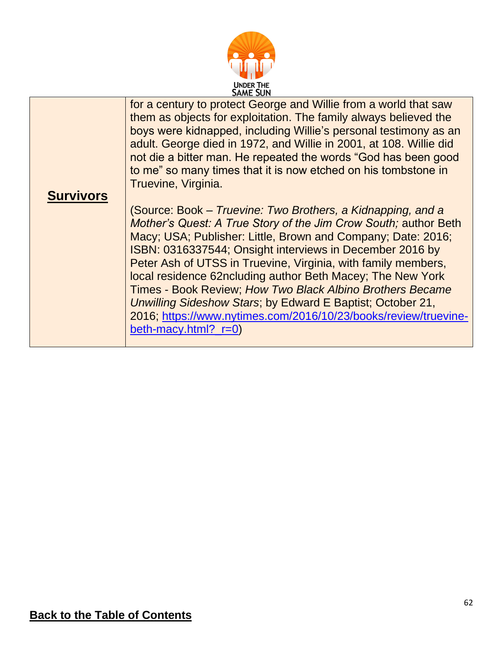

| <b>Survivors</b> | for a century to protect George and Willie from a world that saw<br>them as objects for exploitation. The family always believed the<br>boys were kidnapped, including Willie's personal testimony as an<br>adult. George died in 1972, and Willie in 2001, at 108. Willie did<br>not die a bitter man. He repeated the words "God has been good<br>to me" so many times that it is now etched on his tombstone in<br>Truevine, Virginia.<br>(Source: Book – Truevine: Two Brothers, a Kidnapping, and a<br>Mother's Quest: A True Story of the Jim Crow South; author Beth<br>Macy; USA; Publisher: Little, Brown and Company; Date: 2016;<br>ISBN: 0316337544; Onsight interviews in December 2016 by<br>Peter Ash of UTSS in Truevine, Virginia, with family members,<br>local residence 62ncluding author Beth Macey; The New York<br>Times - Book Review; How Two Black Albino Brothers Became |
|------------------|-----------------------------------------------------------------------------------------------------------------------------------------------------------------------------------------------------------------------------------------------------------------------------------------------------------------------------------------------------------------------------------------------------------------------------------------------------------------------------------------------------------------------------------------------------------------------------------------------------------------------------------------------------------------------------------------------------------------------------------------------------------------------------------------------------------------------------------------------------------------------------------------------------|
|                  | Unwilling Sideshow Stars; by Edward E Baptist; October 21,<br>2016; https://www.nytimes.com/2016/10/23/books/review/truevine-                                                                                                                                                                                                                                                                                                                                                                                                                                                                                                                                                                                                                                                                                                                                                                       |
|                  | beth-macy.html? $r=0$ )                                                                                                                                                                                                                                                                                                                                                                                                                                                                                                                                                                                                                                                                                                                                                                                                                                                                             |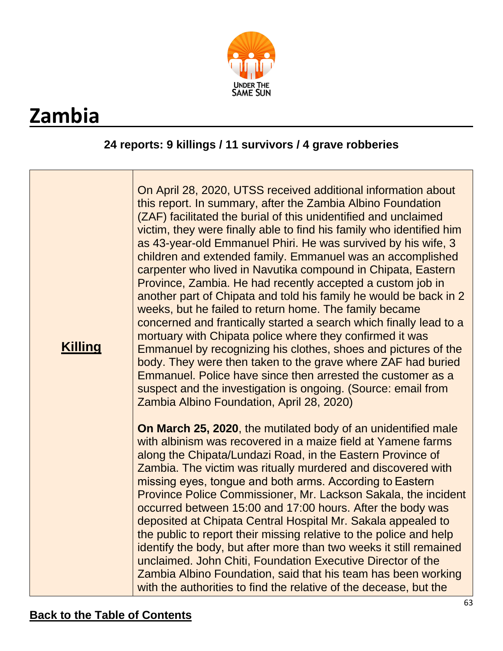

# <span id="page-62-0"></span>**Zambia**

#### **24 reports: 9 killings / 11 survivors / 4 grave robberies**

| <b>Killing</b> | On April 28, 2020, UTSS received additional information about<br>this report. In summary, after the Zambia Albino Foundation<br>(ZAF) facilitated the burial of this unidentified and unclaimed<br>victim, they were finally able to find his family who identified him<br>as 43-year-old Emmanuel Phiri. He was survived by his wife, 3<br>children and extended family. Emmanuel was an accomplished<br>carpenter who lived in Navutika compound in Chipata, Eastern<br>Province, Zambia. He had recently accepted a custom job in<br>another part of Chipata and told his family he would be back in 2<br>weeks, but he failed to return home. The family became<br>concerned and frantically started a search which finally lead to a<br>mortuary with Chipata police where they confirmed it was<br>Emmanuel by recognizing his clothes, shoes and pictures of the<br>body. They were then taken to the grave where ZAF had buried<br>Emmanuel. Police have since then arrested the customer as a<br>suspect and the investigation is ongoing. (Source: email from<br>Zambia Albino Foundation, April 28, 2020) |
|----------------|----------------------------------------------------------------------------------------------------------------------------------------------------------------------------------------------------------------------------------------------------------------------------------------------------------------------------------------------------------------------------------------------------------------------------------------------------------------------------------------------------------------------------------------------------------------------------------------------------------------------------------------------------------------------------------------------------------------------------------------------------------------------------------------------------------------------------------------------------------------------------------------------------------------------------------------------------------------------------------------------------------------------------------------------------------------------------------------------------------------------|
|                | On March 25, 2020, the mutilated body of an unidentified male<br>with albinism was recovered in a maize field at Yamene farms<br>along the Chipata/Lundazi Road, in the Eastern Province of<br>Zambia. The victim was ritually murdered and discovered with<br>missing eyes, tongue and both arms. According to Eastern<br>Province Police Commissioner, Mr. Lackson Sakala, the incident<br>occurred between 15:00 and 17:00 hours. After the body was<br>deposited at Chipata Central Hospital Mr. Sakala appealed to<br>the public to report their missing relative to the police and help<br>identify the body, but after more than two weeks it still remained<br>unclaimed. John Chiti, Foundation Executive Director of the<br>Zambia Albino Foundation, said that his team has been working<br>with the authorities to find the relative of the decease, but the                                                                                                                                                                                                                                             |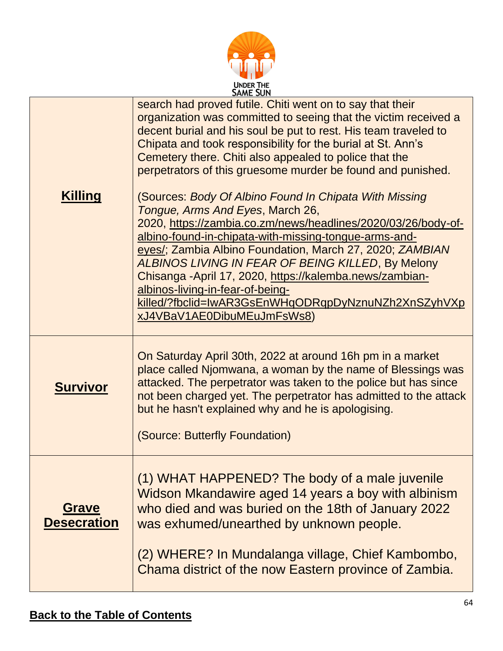

|                             | <b>JAME JUN</b>                                                                                                                                                                                                                                                                                                                                                                                                                                                                                                            |
|-----------------------------|----------------------------------------------------------------------------------------------------------------------------------------------------------------------------------------------------------------------------------------------------------------------------------------------------------------------------------------------------------------------------------------------------------------------------------------------------------------------------------------------------------------------------|
|                             | search had proved futile. Chiti went on to say that their<br>organization was committed to seeing that the victim received a<br>decent burial and his soul be put to rest. His team traveled to<br>Chipata and took responsibility for the burial at St. Ann's<br>Cemetery there. Chiti also appealed to police that the<br>perpetrators of this gruesome murder be found and punished.                                                                                                                                    |
| <b>Killing</b>              | (Sources: Body Of Albino Found In Chipata With Missing<br>Tongue, Arms And Eyes, March 26,<br>2020, https://zambia.co.zm/news/headlines/2020/03/26/body-of-<br>albino-found-in-chipata-with-missing-tongue-arms-and-<br>eyes/; Zambia Albino Foundation, March 27, 2020; ZAMBIAN<br>ALBINOS LIVING IN FEAR OF BEING KILLED, By Melony<br>Chisanga - April 17, 2020, https://kalemba.news/zambian-<br>albinos-living-in-fear-of-being-<br>killed/?fbclid=IwAR3GsEnWHqODRqpDyNznuNZh2XnSZyhVXp<br>xJ4VBaV1AE0DibuMEuJmFsWs8) |
| <b>Survivor</b>             | On Saturday April 30th, 2022 at around 16h pm in a market<br>place called Njomwana, a woman by the name of Blessings was<br>attacked. The perpetrator was taken to the police but has since<br>not been charged yet. The perpetrator has admitted to the attack<br>but he hasn't explained why and he is apologising.<br>(Source: Butterfly Foundation)                                                                                                                                                                    |
| Grave<br><b>Desecration</b> | (1) WHAT HAPPENED? The body of a male juvenile<br>Widson Mkandawire aged 14 years a boy with albinism<br>who died and was buried on the 18th of January 2022<br>was exhumed/unearthed by unknown people.<br>(2) WHERE? In Mundalanga village, Chief Kambombo,<br>Chama district of the now Eastern province of Zambia.                                                                                                                                                                                                     |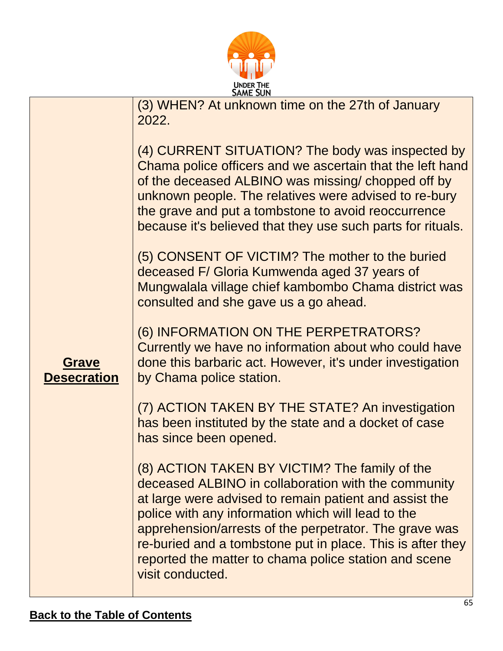

|                                    | <b>SAME SUN</b>                                                                                                                                                                                                                                                                                                                                                                                                                                                                                                                                                                                                                                                                                                                                                                                                                                                                        |  |
|------------------------------------|----------------------------------------------------------------------------------------------------------------------------------------------------------------------------------------------------------------------------------------------------------------------------------------------------------------------------------------------------------------------------------------------------------------------------------------------------------------------------------------------------------------------------------------------------------------------------------------------------------------------------------------------------------------------------------------------------------------------------------------------------------------------------------------------------------------------------------------------------------------------------------------|--|
|                                    | (3) WHEN? At unknown time on the 27th of January<br>2022.                                                                                                                                                                                                                                                                                                                                                                                                                                                                                                                                                                                                                                                                                                                                                                                                                              |  |
| <b>Grave</b><br><b>Desecration</b> | (4) CURRENT SITUATION? The body was inspected by<br>Chama police officers and we ascertain that the left hand<br>of the deceased ALBINO was missing/ chopped off by<br>unknown people. The relatives were advised to re-bury<br>the grave and put a tombstone to avoid reoccurrence<br>because it's believed that they use such parts for rituals.<br>(5) CONSENT OF VICTIM? The mother to the buried<br>deceased F/ Gloria Kumwenda aged 37 years of<br>Mungwalala village chief kambombo Chama district was<br>consulted and she gave us a go ahead.<br>(6) INFORMATION ON THE PERPETRATORS?<br>Currently we have no information about who could have<br>done this barbaric act. However, it's under investigation<br>by Chama police station.<br>(7) ACTION TAKEN BY THE STATE? An investigation<br>has been instituted by the state and a docket of case<br>has since been opened. |  |
|                                    | (8) ACTION TAKEN BY VICTIM? The family of the<br>deceased ALBINO in collaboration with the community<br>at large were advised to remain patient and assist the<br>police with any information which will lead to the<br>apprehension/arrests of the perpetrator. The grave was<br>re-buried and a tombstone put in place. This is after they<br>reported the matter to chama police station and scene<br>visit conducted.                                                                                                                                                                                                                                                                                                                                                                                                                                                              |  |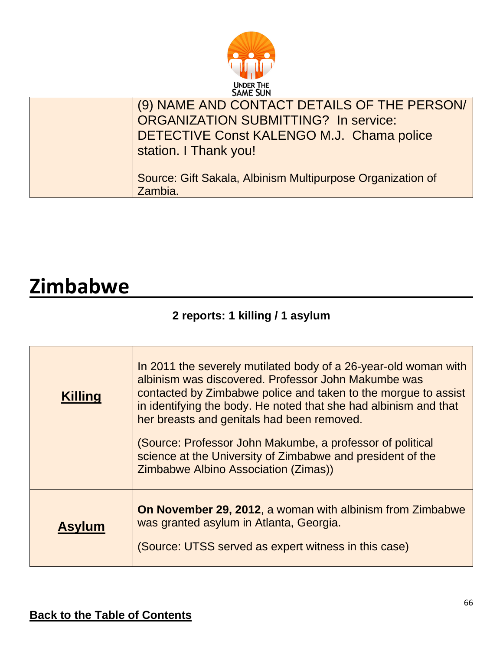

| (9) NAME AND CONTACT DETAILS OF THE PERSON/<br>ORGANIZATION SUBMITTING? In service:<br>DETECTIVE Const KALENGO M.J. Chama police<br>station. I Thank you! |
|-----------------------------------------------------------------------------------------------------------------------------------------------------------|
| Source: Gift Sakala, Albinism Multipurpose Organization of<br>Zambia.                                                                                     |

# <span id="page-65-0"></span>**Zimbabwe**

### **2 reports: 1 killing / 1 asylum**

| <b>Killing</b> | In 2011 the severely mutilated body of a 26-year-old woman with<br>albinism was discovered. Professor John Makumbe was<br>contacted by Zimbabwe police and taken to the morgue to assist<br>in identifying the body. He noted that she had albinism and that<br>her breasts and genitals had been removed.<br>(Source: Professor John Makumbe, a professor of political<br>science at the University of Zimbabwe and president of the<br>Zimbabwe Albino Association (Zimas)) |
|----------------|-------------------------------------------------------------------------------------------------------------------------------------------------------------------------------------------------------------------------------------------------------------------------------------------------------------------------------------------------------------------------------------------------------------------------------------------------------------------------------|
| <b>Asylum</b>  | <b>On November 29, 2012, a woman with albinism from Zimbabwe</b><br>was granted asylum in Atlanta, Georgia.<br>(Source: UTSS served as expert witness in this case)                                                                                                                                                                                                                                                                                                           |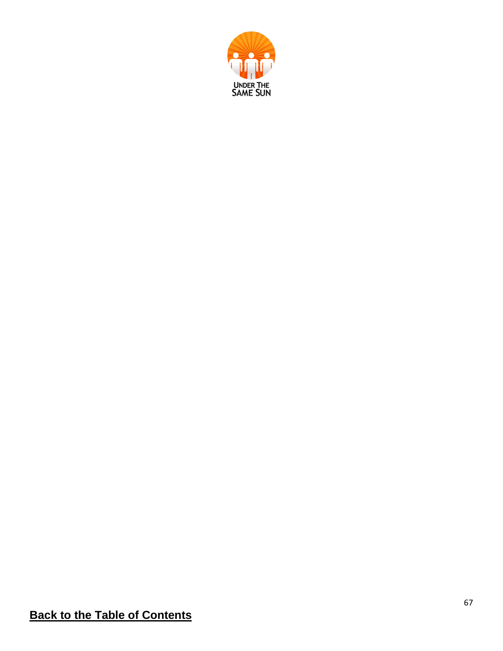